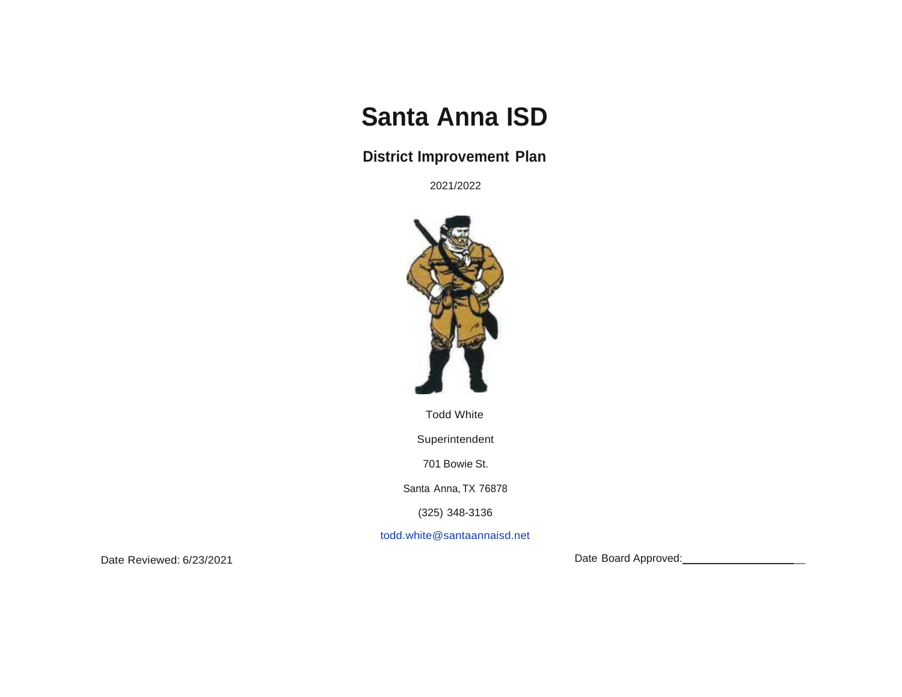# **Santa Anna ISD**

## **District Improvement Plan**

2021/2022



Todd White

Superintendent

701 Bowie St.

Santa Anna, TX 76878

(325) 348-3136

[todd.white@santaannaisd.net](mailto:todd.white@santaannaisd.net)

Date Reviewed: 6/23/2021 **Date Board Approved:**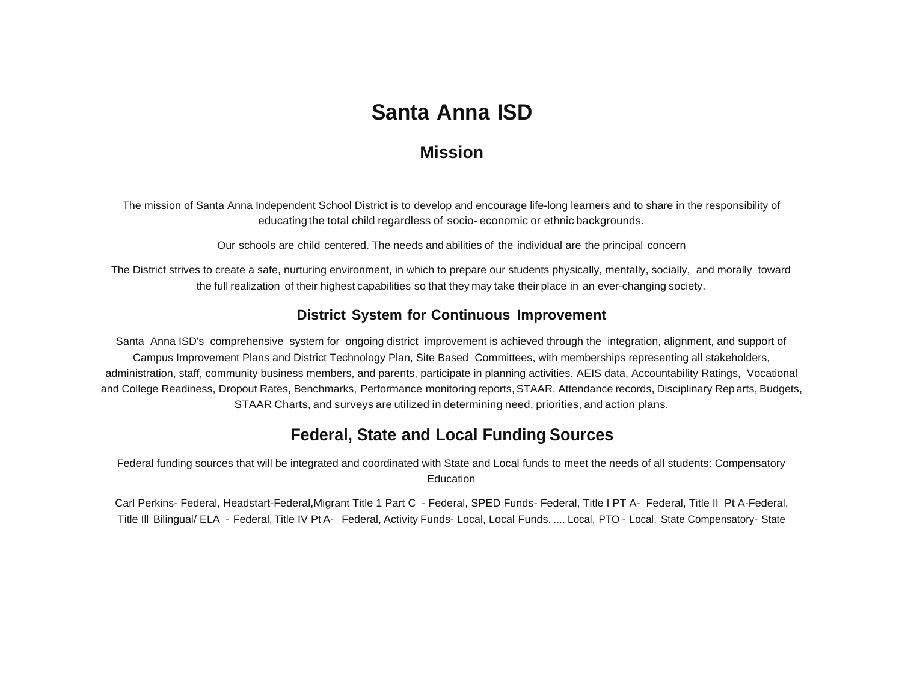# **Santa Anna ISD**

### **Mission**

The mission of Santa Anna Independent School District is to develop and encourage life-long learners and to share in the responsibility of educating the total child regardless of socio- economic or ethnic backgrounds.

Our schools are child centered. The needs and abilities of the individual are the principal concern

The District strives to create a safe, nurturing environment, in which to prepare our students physically, mentally, socially, and morally toward the full realization of their highest capabilities so that they may take their place in an ever-changing society.

### **District System for Continuous Improvement**

Santa Anna ISD's comprehensive system for ongoing district improvement is achieved through the integration, alignment, and support of Campus Improvement Plans and District Technology Plan, Site Based Committees, with memberships representing all stakeholders, administration, staff, community business members, and parents, participate in planning activities. AEIS data, Accountability Ratings, Vocational and College Readiness, Dropout Rates, Benchmarks, Performance monitoring reports, STAAR, Attendance records, Disciplinary Rep arts, Budgets, STAAR Charts, and surveys are utilized in determining need, priorities, and action plans.

### **Federal, State and Local Funding Sources**

Federal funding sources that will be integrated and coordinated with State and Local funds to meet the needs of all students: Compensatory Education

Carl Perkins- Federal, Headstart-Federal,Migrant Title 1 Part C - Federal, SPED Funds- Federal, Title I PT A- Federal, Title II Pt A-Federal, Title Ill Bilingual/ ELA - Federal, Title IV Pt A- Federal, Activity Funds- Local, Local Funds. .... Local, PTO - Local, State Compensatory- State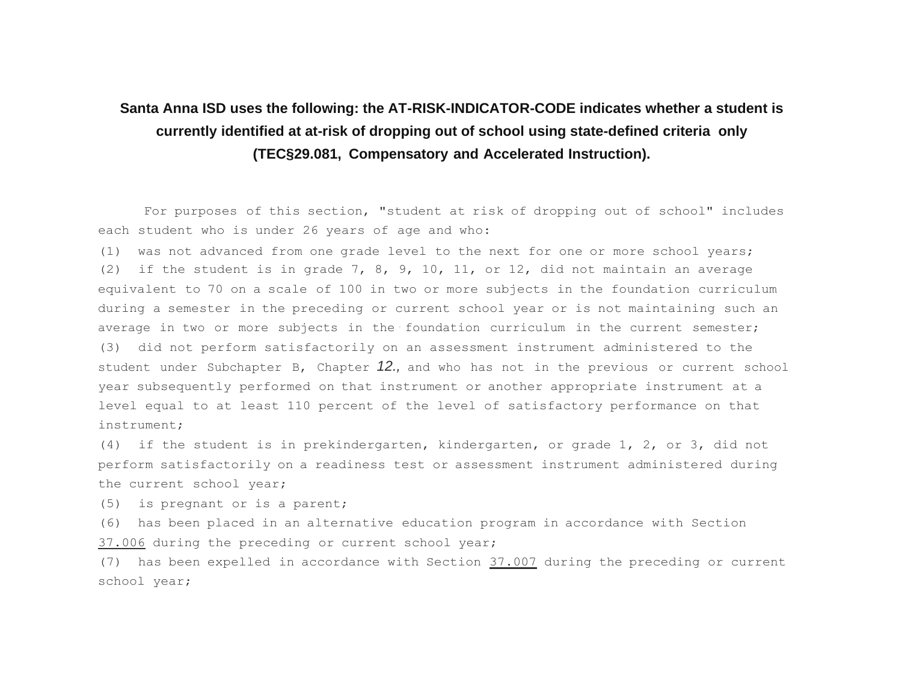### **Santa Anna ISD uses the following: the AT-RISK-INDICATOR-CODE indicates whether a student is currently identified at at-risk of dropping out of school using state-defined criteria only (TEC§29.081, Compensatory and Accelerated Instruction).**

For purposes of this section, "student at risk of dropping out of school" includes each student who is under 26 years of age and who:

(1) was not advanced from one grade level to the next for one or more school years; (2) if the student is in grade 7, 8, 9, 10, 11, or 12, did not maintain an average equivalent to 70 on a scale of 100 in two or more subjects in the foundation curriculum during a semester in the preceding or current school year or is not maintaining such an average in two or more subjects in the foundation curriculum in the current semester; (3) did not perform satisfactorily on an assessment instrument administered to the student under Subchapter B, Chapter *12.,* and who has not in the previous or current school year subsequently performed on that instrument or another appropriate instrument at a level equal to at least 110 percent of the level of satisfactory performance on that instrument;

(4) if the student is in prekindergarten, kindergarten, or grade 1, 2, or 3, did not perform satisfactorily on a readiness test or assessment instrument administered during the current school year;

(5) is pregnant or is a parent;

(6) has been placed in an alternative education program in accordance with Section 37.006 during the preceding or current school year;

(7) has been expelled in accordance with Section 37.007 during the preceding or current school year;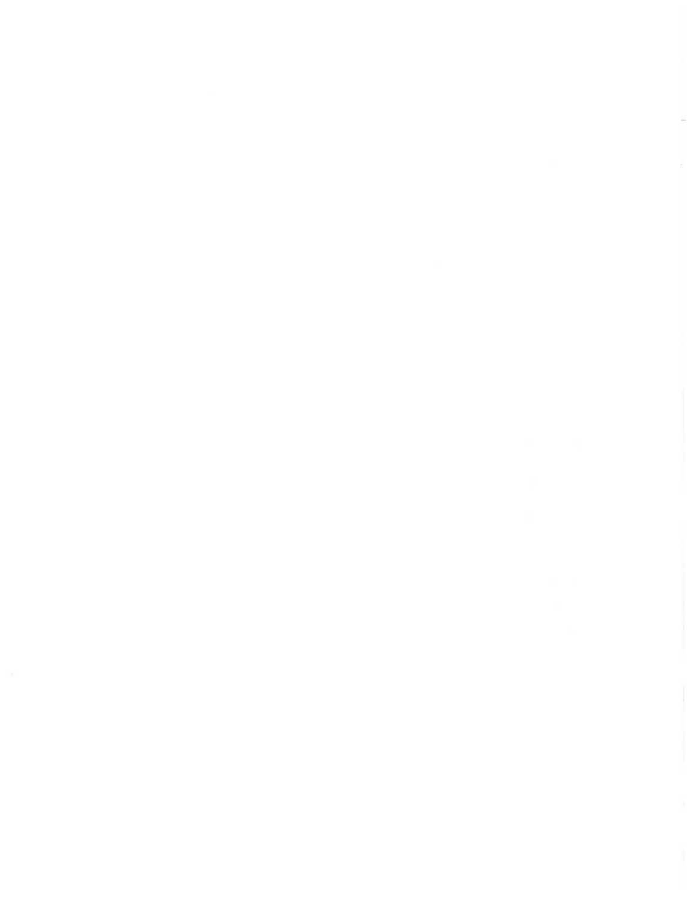$\tilde{\tau}$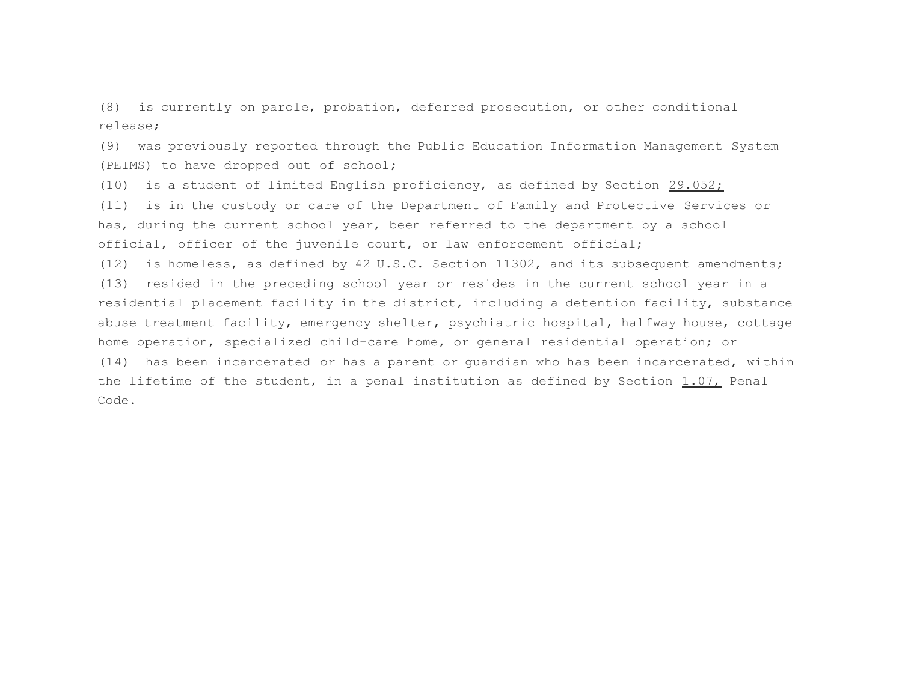(8) is currently on parole, probation, deferred prosecution, or other conditional release;

(9) was previously reported through the Public Education Information Management System (PEIMS) to have dropped out of school;

(10) is a student of limited English proficiency, as defined by Section 29.052; (11) is in the custody or care of the Department of Family and Protective Services or has, during the current school year, been referred to the department by a school official, officer of the juvenile court, or law enforcement official;

(12) is homeless, as defined by 42 U.S.C. Section 11302, and its subsequent amendments; (13) resided in the preceding school year or resides in the current school year in a residential placement facility in the district, including a detention facility, substance abuse treatment facility, emergency shelter, psychiatric hospital, halfway house, cottage home operation, specialized child-care home, or general residential operation; or (14) has been incarcerated or has a parent or guardian who has been incarcerated, within the lifetime of the student, in a penal institution as defined by Section 1.07, Penal Code.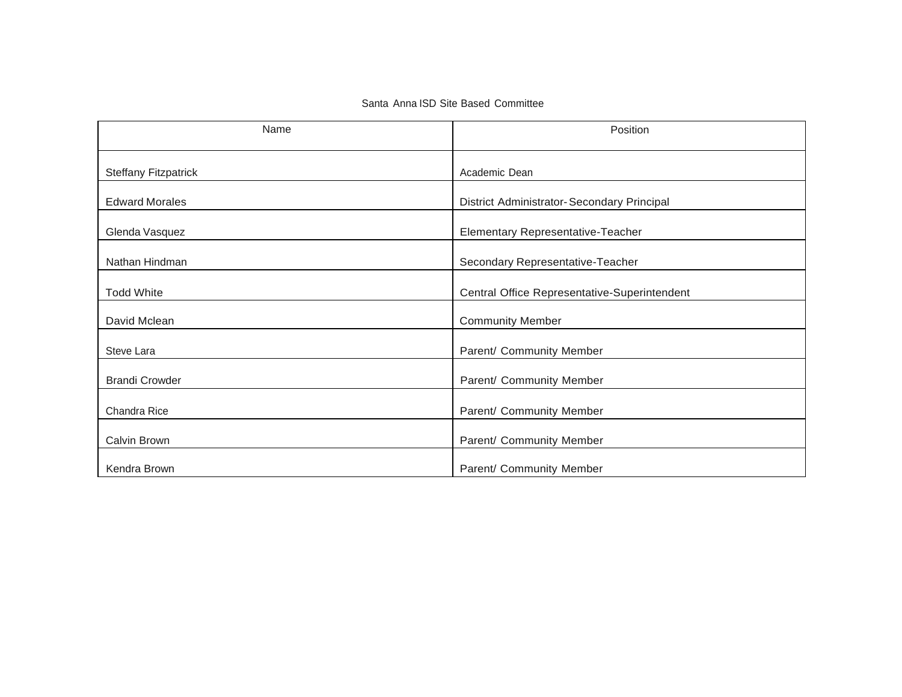#### Santa Anna ISD Site Based Committee

| Name                        | Position                                     |  |
|-----------------------------|----------------------------------------------|--|
| <b>Steffany Fitzpatrick</b> | Academic Dean                                |  |
| <b>Edward Morales</b>       | District Administrator-Secondary Principal   |  |
| Glenda Vasquez              | Elementary Representative-Teacher            |  |
| Nathan Hindman              | Secondary Representative-Teacher             |  |
| <b>Todd White</b>           | Central Office Representative-Superintendent |  |
| David Mclean                | <b>Community Member</b>                      |  |
| Steve Lara                  | Parent/ Community Member                     |  |
| <b>Brandi Crowder</b>       | Parent/ Community Member                     |  |
| Chandra Rice                | Parent/ Community Member                     |  |
| Calvin Brown                | Parent/ Community Member                     |  |
| Kendra Brown                | Parent/ Community Member                     |  |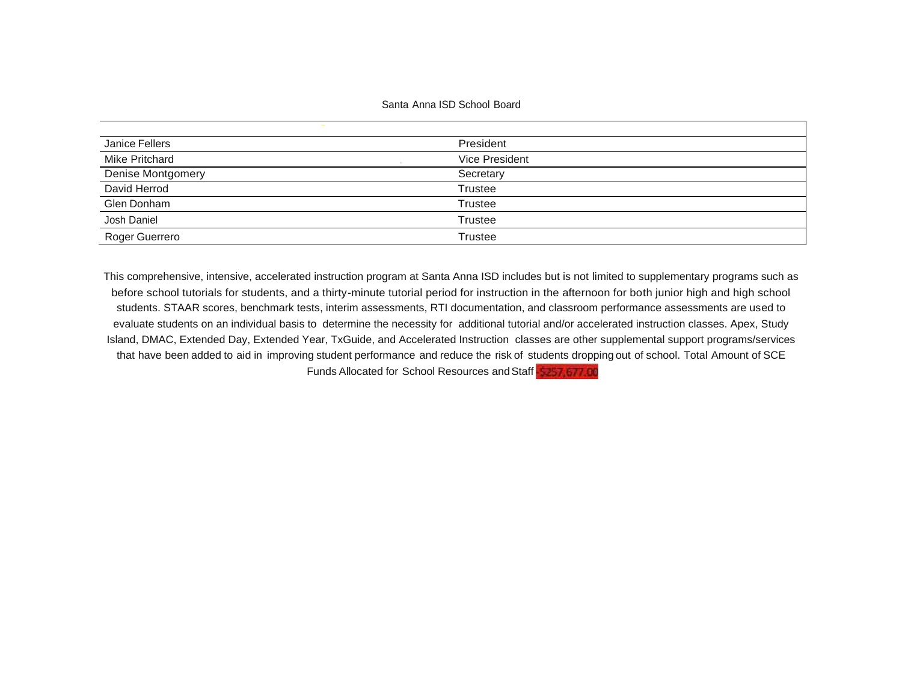#### Santa Anna ISD School Board

| Janice Fellers           | President      |  |
|--------------------------|----------------|--|
| Mike Pritchard           | Vice President |  |
| <b>Denise Montgomery</b> | Secretary      |  |
| David Herrod             | <b>Trustee</b> |  |
| Glen Donham              | <b>Trustee</b> |  |
| Josh Daniel              | <b>Trustee</b> |  |
| Roger Guerrero           | <b>Trustee</b> |  |

This comprehensive, intensive, accelerated instruction program at Santa Anna ISD includes but is not limited to supplementary programs such as before school tutorials for students, and a thirty-minute tutorial period for instruction in the afternoon for both junior high and high school students. STAAR scores, benchmark tests, interim assessments, RTI documentation, and classroom performance assessments are used to evaluate students on an individual basis to determine the necessity for additional tutorial and/or accelerated instruction classes. Apex, Study Island, DMAC, Extended Day, Extended Year, TxGuide, and Accelerated Instruction classes are other supplemental support programs/services that have been added to aid in improving student performance and reduce the risk of students dropping out of school. Total Amount of SCE Funds Allocated for School Resources and Staff 357,677.00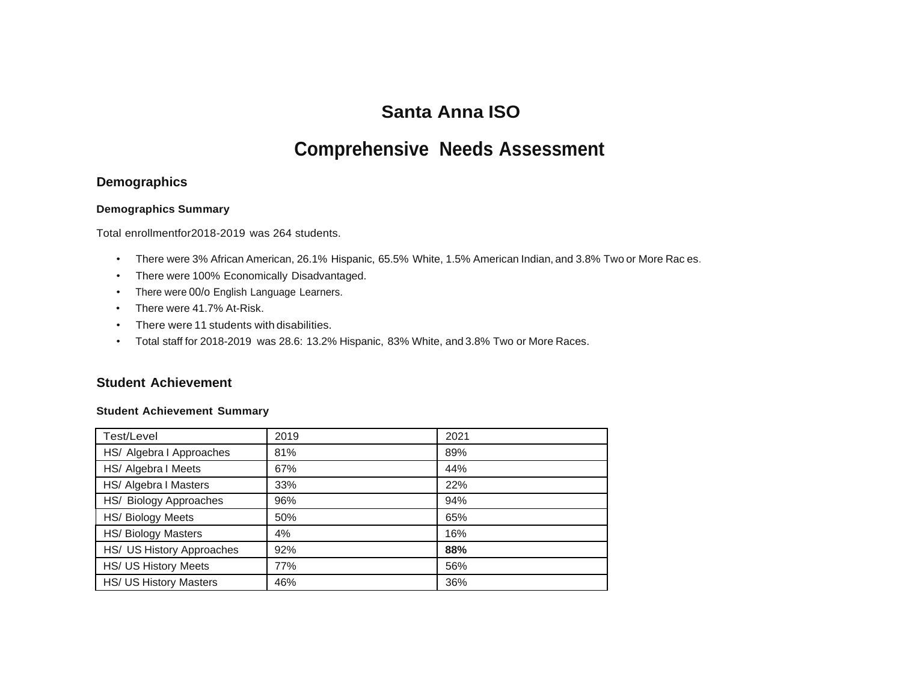## **Santa Anna ISO**

# **Comprehensive Needs Assessment**

### **Demographics**

#### **Demographics Summary**

Total enrollmentfor2018-2019 was 264 students.

- There were 3% African American, 26.1% Hispanic, 65.5% White, 1.5% American Indian, and 3.8% Two or More Rac es.
- There were 100% Economically Disadvantaged.
- There were 00/o English Language Learners.
- There were 41.7% At-Risk.
- There were 11 students with disabilities.
- Total staff for 2018-2019 was 28.6: 13.2% Hispanic, 83% White, and 3.8% Two or More Races.

### **Student Achievement**

#### **Student Achievement Summary**

| Test/Level                 | 2019 | 2021 |
|----------------------------|------|------|
| HS/ Algebra I Approaches   | 81%  | 89%  |
| HS/ Algebra I Meets        | 67%  | 44%  |
| HS/ Algebra I Masters      | 33%  | 22%  |
| HS/ Biology Approaches     | 96%  | 94%  |
| HS/ Biology Meets          | 50%  | 65%  |
| <b>HS/ Biology Masters</b> | 4%   | 16%  |
| HS/ US History Approaches  | 92%  | 88%  |
| HS/ US History Meets       | 77%  | 56%  |
| HS/ US History Masters     | 46%  | 36%  |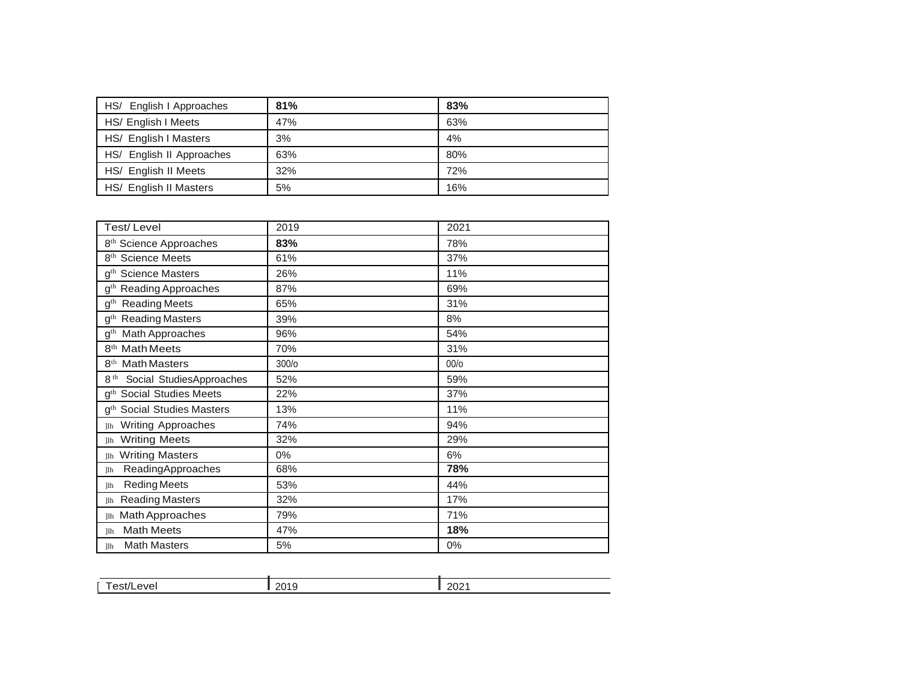| HS/ English I Approaches  | 81% | 83% |
|---------------------------|-----|-----|
| HS/ English I Meets       | 47% | 63% |
| HS/ English I Masters     | 3%  | 4%  |
| HS/ English II Approaches | 63% | 80% |
| HS/ English II Meets      | 32% | 72% |
| HS/ English II Masters    | 5%  | 16% |

| Test/Level                                  | 2019  | 2021           |
|---------------------------------------------|-------|----------------|
| 8 <sup>th</sup> Science Approaches          | 83%   | 78%            |
| 8 <sup>th</sup> Science Meets               | 61%   | 37%            |
| g <sup>th</sup> Science Masters             | 26%   | 11%            |
| g <sup>th</sup> Reading Approaches          | 87%   | 69%            |
| g <sup>th</sup> Reading Meets               | 65%   | 31%            |
| g <sup>th</sup> Reading Masters             | 39%   | 8%             |
| g <sup>th</sup> Math Approaches             | 96%   | 54%            |
| 8 <sup>th</sup> Math Meets                  | 70%   | 31%            |
| 8 <sup>th</sup> Math Masters                | 300/c | $00$ / $\circ$ |
| Social StudiesApproaches<br>8 <sup>th</sup> | 52%   | 59%            |
| g <sup>th</sup> Social Studies Meets        | 22%   | 37%            |
| g <sup>th</sup> Social Studies Masters      | 13%   | 11%            |
| <b>Writing Approaches</b><br> lh            | 74%   | 94%            |
| <b>Writing Meets</b><br> lh                 | 32%   | 29%            |
| Jlh Writing Masters                         | 0%    | 6%             |
| ReadingApproaches<br> 1h                    | 68%   | 78%            |
| <b>Reding Meets</b><br> lh                  | 53%   | 44%            |
| <b>Reading Masters</b><br> lh               | 32%   | 17%            |
| Jlh Math Approaches                         | 79%   | 71%            |
| <b>Math Meets</b><br> lh                    | 47%   | 18%            |
| <b>Math Masters</b><br> lh                  | 5%    | 0%             |

| - -<br>$\sim$<br>.<br>$-ve$<br>$\cdot$ . | ാറി<br>$-\sqrt{2}$ |
|------------------------------------------|--------------------|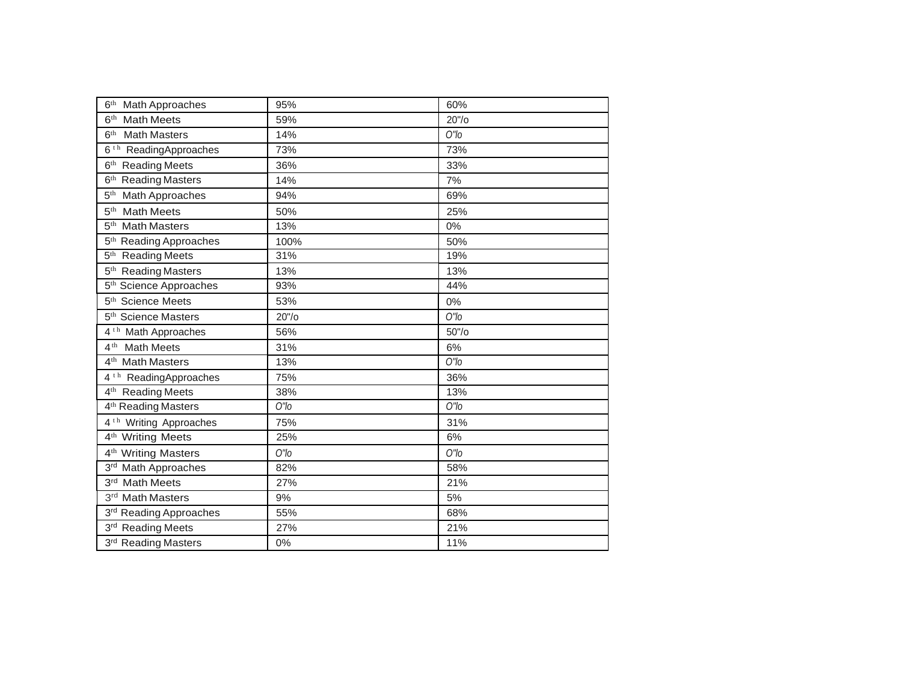| $6^{\rm th}$<br>Math Approaches           | 95%      | 60%      |
|-------------------------------------------|----------|----------|
| <b>Math Meets</b><br>6 <sup>th</sup>      | 59%      | $20$ "/o |
| <b>Math Masters</b><br>6 <sup>th</sup>    | 14%      | $O''$ lo |
| $\overline{6^{th}}$ ReadingApproaches     | 73%      | 73%      |
| 6 <sup>th</sup> Reading Meets             | 36%      | 33%      |
| <b>Reading Masters</b><br>6 <sup>th</sup> | 14%      | 7%       |
| Math Approaches<br>5 <sup>th</sup>        | 94%      | 69%      |
| 5 <sup>th</sup> Math Meets                | 50%      | 25%      |
| 5 <sup>th</sup> Math Masters              | 13%      | 0%       |
| 5 <sup>th</sup> Reading Approaches        | 100%     | 50%      |
| 5 <sup>th</sup> Reading Meets             | 31%      | 19%      |
| 5 <sup>th</sup> Reading Masters           | 13%      | 13%      |
| 5 <sup>th</sup> Science Approaches        | 93%      | 44%      |
| 5 <sup>th</sup> Science Meets             | 53%      | 0%       |
| 5 <sup>th</sup> Science Masters           | 20''/o   | $O''$ lo |
| 4 <sup>th</sup> Math Approaches           | 56%      | $50$ "/o |
| 4 <sup>th</sup> Math Meets                | 31%      | 6%       |
| 4 <sup>th</sup> Math Masters              | 13%      | $O''$ lo |
| 4 <sup>th</sup> ReadingApproaches         | 75%      | 36%      |
| 4 <sup>th</sup> Reading Meets             | 38%      | 13%      |
| 4 <sup>th</sup> Reading Masters           | $O''$ lo | $O''$ lo |
| 4 <sup>th</sup> Writing Approaches        | 75%      | 31%      |
| 4 <sup>th</sup> Writing Meets             | 25%      | 6%       |
| 4 <sup>th</sup> Writing Masters           | $O''$ lo | $O''$ lo |
| 3rd Math Approaches                       | 82%      | 58%      |
| 3rd Math Meets                            | 27%      | 21%      |
| 3rd Math Masters                          | 9%       | 5%       |
| 3 <sup>rd</sup> Reading Approaches        | 55%      | 68%      |
| 3rd Reading Meets                         | 27%      | 21%      |
| 3 <sup>rd</sup> Reading Masters           | 0%       | 11%      |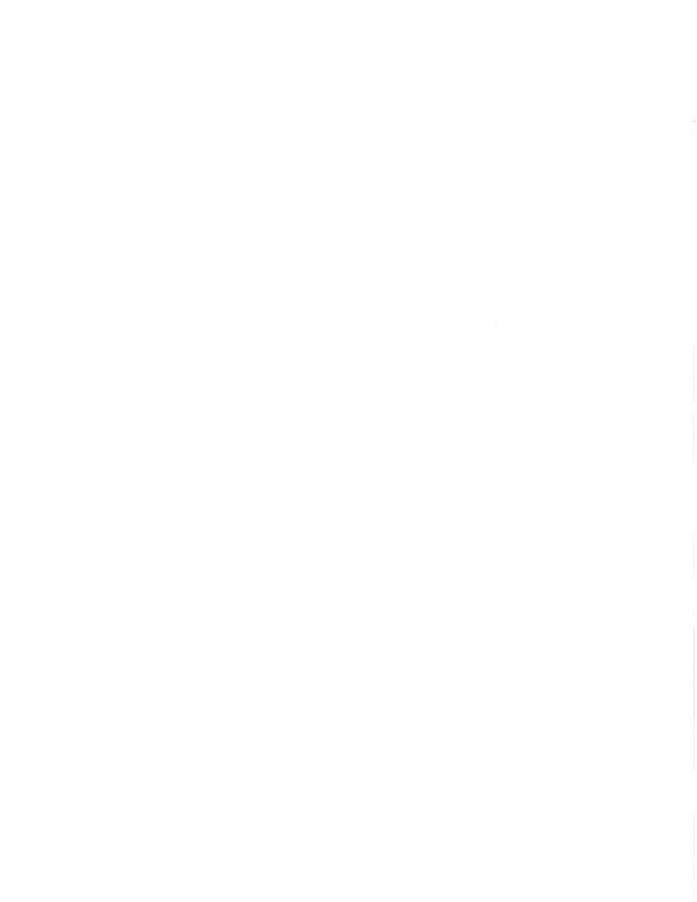Ĥ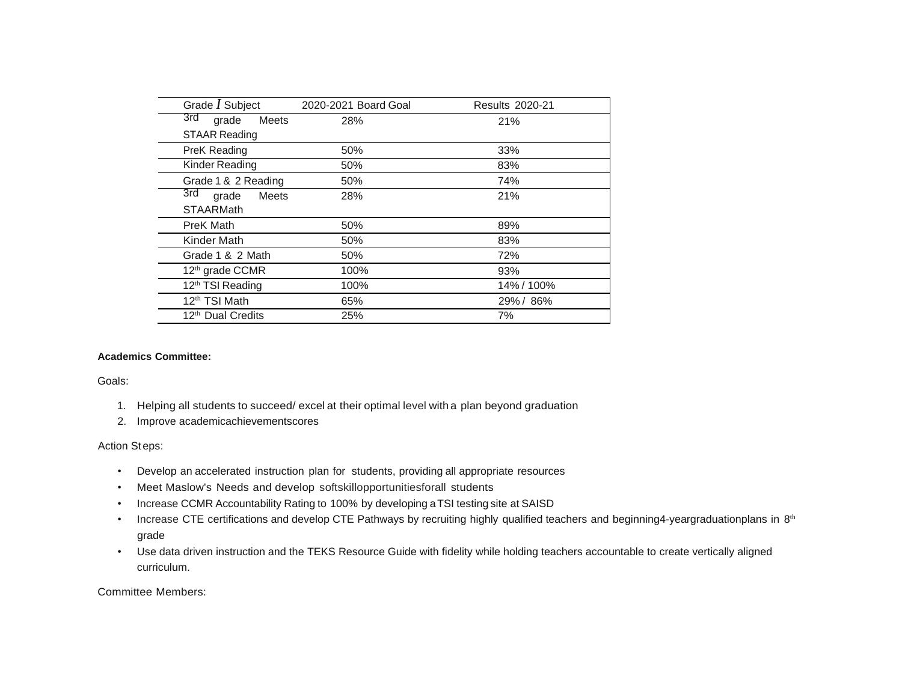| Grade $I$ Subject             | 2020-2021 Board Goal | <b>Results 2020-21</b> |
|-------------------------------|----------------------|------------------------|
| 3rd<br>grade<br><b>Meets</b>  | 28%                  | 21%                    |
| <b>STAAR Reading</b>          |                      |                        |
| PreK Reading                  | 50%                  | 33%                    |
| Kinder Reading                | 50%                  | 83%                    |
| Grade 1 & 2 Reading           | 50%                  | 74%                    |
| 3rd<br><b>Meets</b><br>grade  | 28%                  | 21%                    |
| <b>STAARMath</b>              |                      |                        |
| <b>PreK Math</b>              | 50%                  | 89%                    |
| Kinder Math                   | 50%                  | 83%                    |
| Grade 1 & 2 Math              | 50%                  | 72%                    |
| 12 <sup>th</sup> grade CCMR   | 100%                 | 93%                    |
| 12 <sup>th</sup> TSI Reading  | 100%                 | 14% / 100%             |
| 12 <sup>th</sup> TSI Math     | 65%                  | 29%/86%                |
| 12 <sup>th</sup> Dual Credits | 25%                  | 7%                     |

#### **Academics Committee:**

Goals:

- 1. Helping all students to succeed/ excel at their optimal level with a plan beyond graduation
- 2. Improve academicachievementscores

Action St eps:

- Develop an accelerated instruction plan for students, providing all appropriate resources
- Meet Maslow's Needs and develop softskillopportunitiesforall students
- Increase CCMR Accountability Rating to 100% by developing aTSI testing site at SAISD
- Increase CTE certifications and develop CTE Pathways by recruiting highly qualified teachers and beginning4-yeargraduationplans in  $8<sup>th</sup>$ grade
- Use data driven instruction and the TEKS Resource Guide with fidelity while holding teachers accountable to create vertically aligned curriculum.

Committee Members: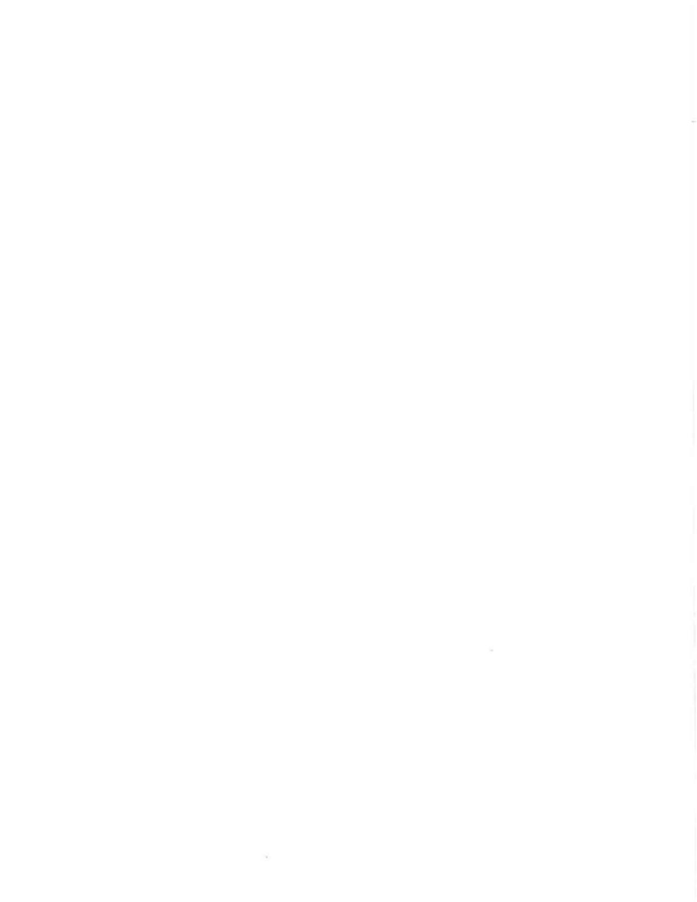$\sim 10^{-10}$  km s  $^{-1}$ 

 $\mathcal{A}(\mathcal{A})$  .

È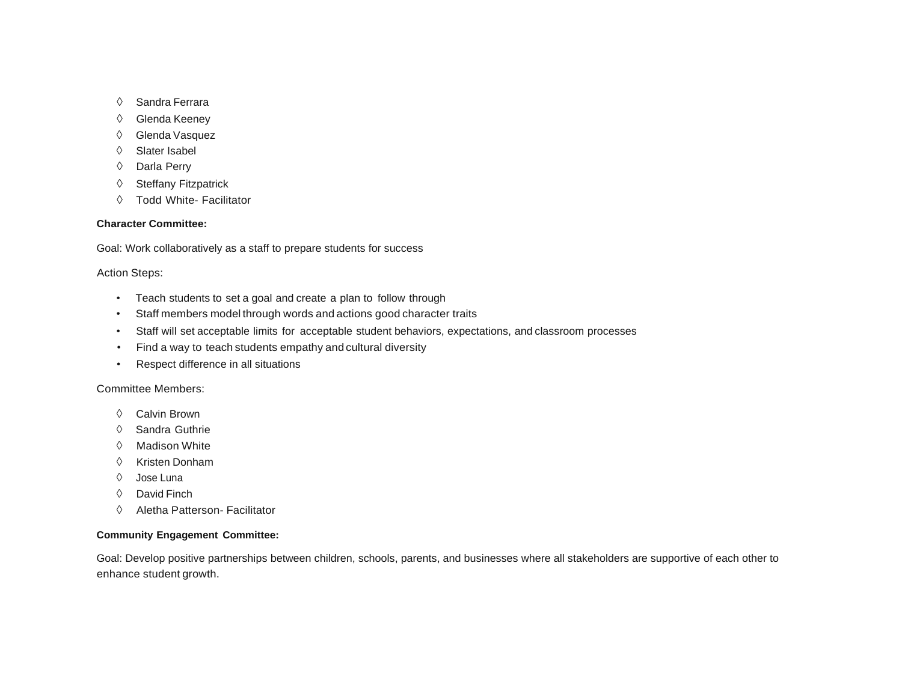- ◊ Sandra Ferrara
- ◊ Glenda Keeney
- ◊ Glenda Vasquez
- ◊ Slater Isabel
- ◊ Darla Perry
- ◊ Steffany Fitzpatrick
- ◊ Todd White- Facilitator

#### **Character Committee:**

Goal: Work collaboratively as a staff to prepare students for success

#### Action Steps:

- Teach students to set a goal and create a plan to follow through
- Staff members model through words and actions good character traits
- Staff will set acceptable limits for acceptable student behaviors, expectations, and classroom processes
- Find a way to teach students empathy and cultural diversity
- Respect difference in all situations

#### Committee Members:

- ◊ Calvin Brown
- ◊ Sandra Guthrie
- ◊ Madison White
- ◊ Kristen Donham
- ◊ Jose Luna
- ◊ David Finch
- ◊ Aletha Patterson- Facilitator

#### **Community Engagement Committee:**

Goal: Develop positive partnerships between children, schools, parents, and businesses where all stakeholders are supportive of each other to enhance student growth.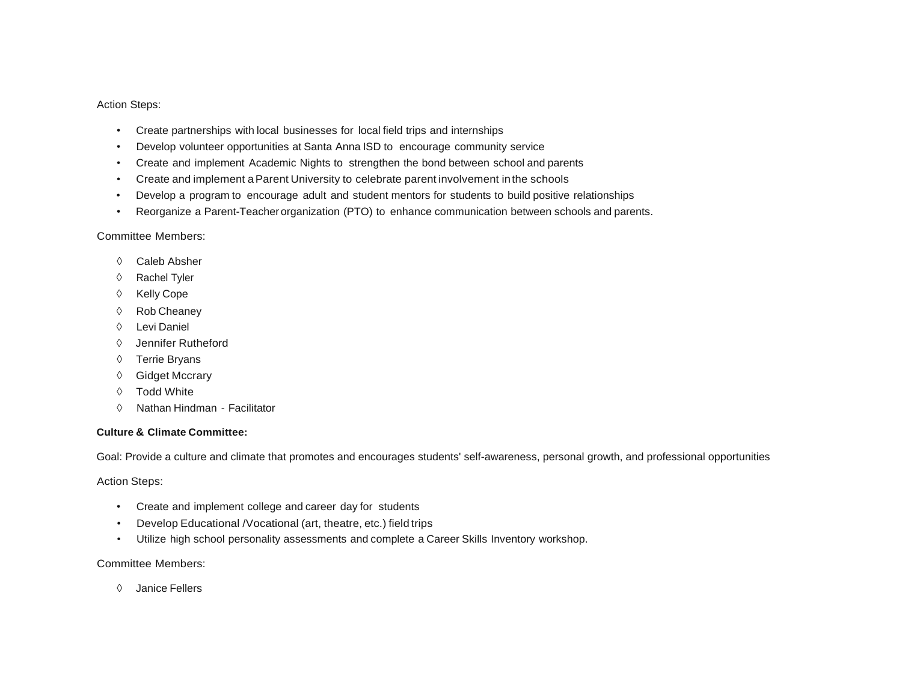#### Action Steps:

- Create partnerships with local businesses for local field trips and internships
- Develop volunteer opportunities at Santa Anna ISD to encourage community service
- Create and implement Academic Nights to strengthen the bond between school and parents
- Create and implement aParent University to celebrate parent involvement inthe schools
- Develop a program to encourage adult and student mentors for students to build positive relationships
- Reorganize a Parent-Teacher organization (PTO) to enhance communication between schools and parents.

Committee Members:

- ◊ Caleb Absher
- ◊ Rachel Tyler
- ◊ Kelly Cope
- ◊ Rob Cheaney
- ◊ Levi Daniel
- ◊ Jennifer Rutheford
- ◊ Terrie Bryans
- ◊ Gidget Mccrary
- ◊ Todd White
- ◊ Nathan Hindman Facilitator

#### **Culture & Climate Committee:**

Goal: Provide a culture and climate that promotes and encourages students' self-awareness, personal growth, and professional opportunities

Action Steps:

- Create and implement college and career day for students
- Develop Educational /Vocational (art, theatre, etc.) field trips
- Utilize high school personality assessments and complete a Career Skills Inventory workshop.

#### Committee Members:

◊ Janice Fellers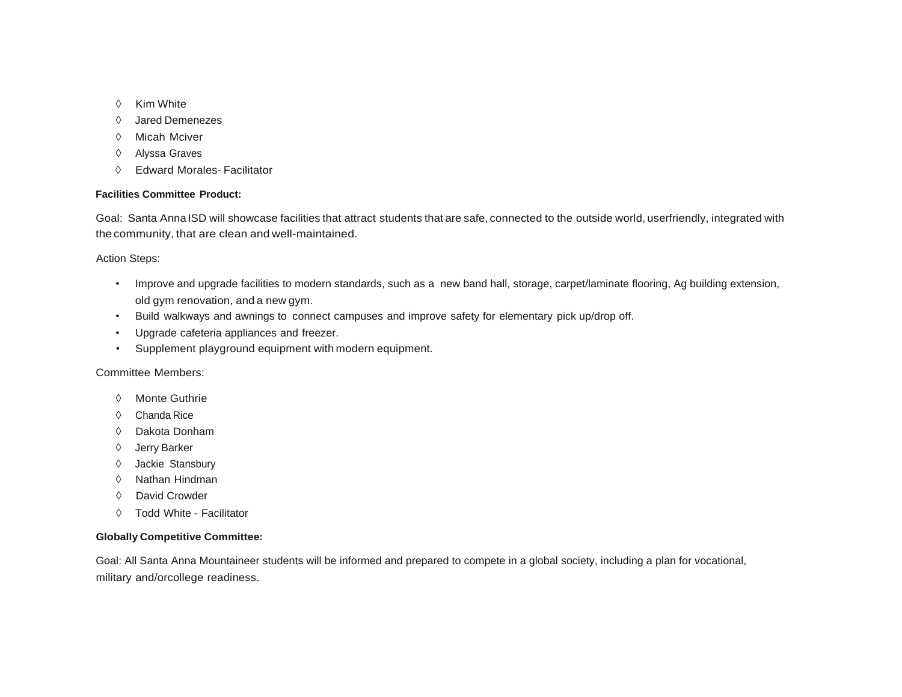- ◊ Kim White
- ◊ Jared Demenezes
- ◊ Micah Mciver
- ◊ Alyssa Graves
- ◊ Edward Morales- Facilitator

#### **Facilities Committee Product:**

Goal: Santa Anna ISD will showcase facilities that attract students that are safe, connected to the outside world, userfriendly, integrated with thecommunity, that are clean and well-maintained.

Action Steps:

- Improve and upgrade facilities to modern standards, such as a new band hall, storage, carpet/laminate flooring, Ag building extension, old gym renovation, and a new gym.
- Build walkways and awnings to connect campuses and improve safety for elementary pick up/drop off.
- Upgrade cafeteria appliances and freezer.
- Supplement playground equipment with modern equipment.

Committee Members:

- ◊ Monte Guthrie
- ◊ Chanda Rice
- ◊ Dakota Donham
- ◊ Jerry Barker
- ◊ Jackie Stansbury
- ◊ Nathan Hindman
- ◊ David Crowder
- ◊ Todd White Facilitator

#### **Globally Competitive Committee:**

Goal: All Santa Anna Mountaineer students will be informed and prepared to compete in a global society, including a plan for vocational, military and/orcollege readiness.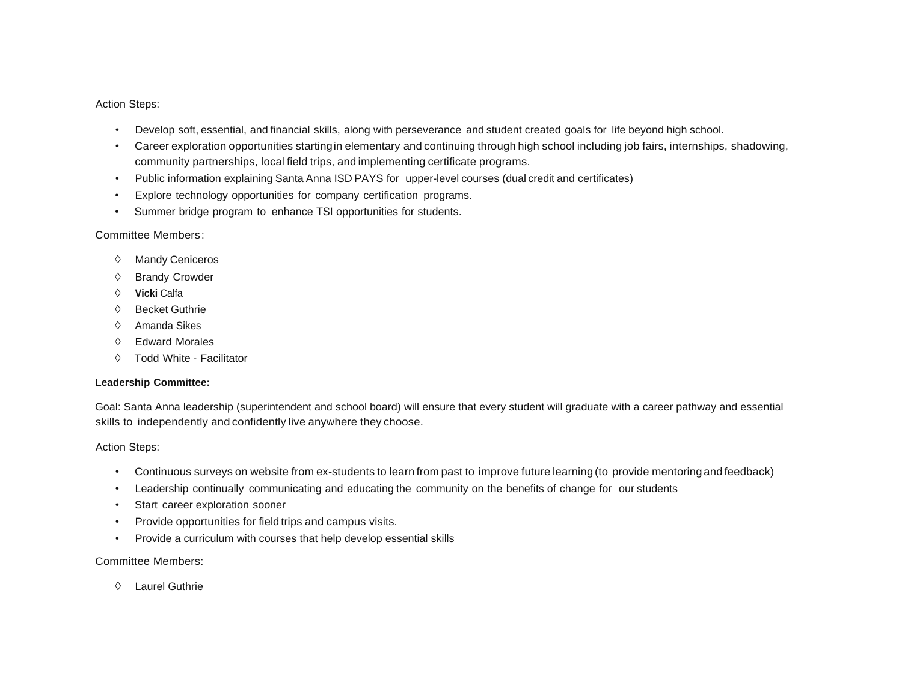#### Action Steps:

- Develop soft, essential, and financial skills, along with perseverance and student created goals for life beyond high school.
- Career exploration opportunities startingin elementary and continuing through high school including job fairs, internships, shadowing, community partnerships, local field trips, and implementing certificate programs.
- Public information explaining Santa Anna ISD PAYS for upper-level courses (dual credit and certificates)
- Explore technology opportunities for company certification programs.
- Summer bridge program to enhance TSI opportunities for students.

#### Committee Members:

- ◊ Mandy Ceniceros
- ◊ Brandy Crowder
- ◊ **Vicki** Calfa
- ◊ Becket Guthrie
- ◊ Amanda Sikes
- ◊ Edward Morales
- ◊ Todd White Facilitator

#### **Leadership Committee:**

Goal: Santa Anna leadership (superintendent and school board) will ensure that every student will graduate with a career pathway and essential skills to independently and confidently live anywhere they choose.

#### Action Steps:

- Continuous surveys on website from ex-students to learn from past to improve future learning (to provide mentoring and feedback)
- Leadership continually communicating and educating the community on the benefits of change for our students
- Start career exploration sooner
- Provide opportunities for field trips and campus visits.
- Provide a curriculum with courses that help develop essential skills

#### Committee Members:

◊ Laurel Guthrie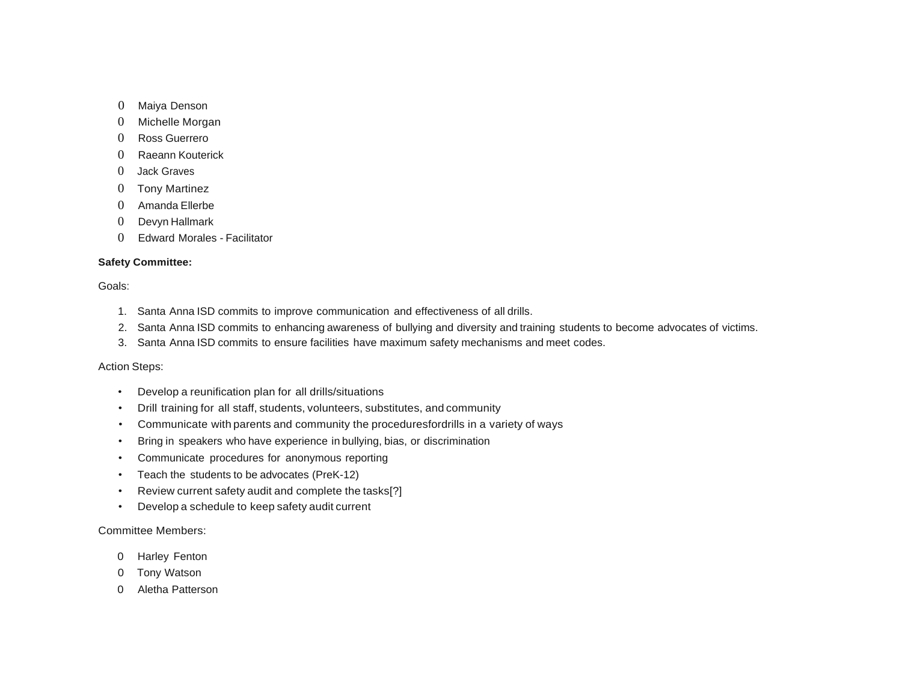- 0 Maiya Denson
- 0 Michelle Morgan
- 0 Ross Guerrero
- 0 Raeann Kouterick
- 0 Jack Graves
- 0 Tony Martinez
- 0 Amanda Ellerbe
- 0 Devyn Hallmark
- 0 Edward Morales Facilitator

#### **Safety Committee:**

#### Goals:

- 1. Santa Anna ISD commits to improve communication and effectiveness of all drills.
- 2. Santa Anna ISD commits to enhancing awareness of bullying and diversity and training students to become advocates of victims.
- 3. Santa Anna ISD commits to ensure facilities have maximum safety mechanisms and meet codes.

#### Action Steps:

- Develop a reunification plan for all drills/situations
- Drill training for all staff, students, volunteers, substitutes, and community
- Communicate with parents and community the proceduresfordrills in a variety of ways
- Bring in speakers who have experience in bullying, bias, or discrimination
- Communicate procedures for anonymous reporting
- Teach the students to be advocates (PreK-12)
- Review current safety audit and complete the tasks[?]
- Develop a schedule to keep safety audit current

#### Committee Members:

- 0 Harley Fenton
- 0 Tony Watson
- 0 Aletha Patterson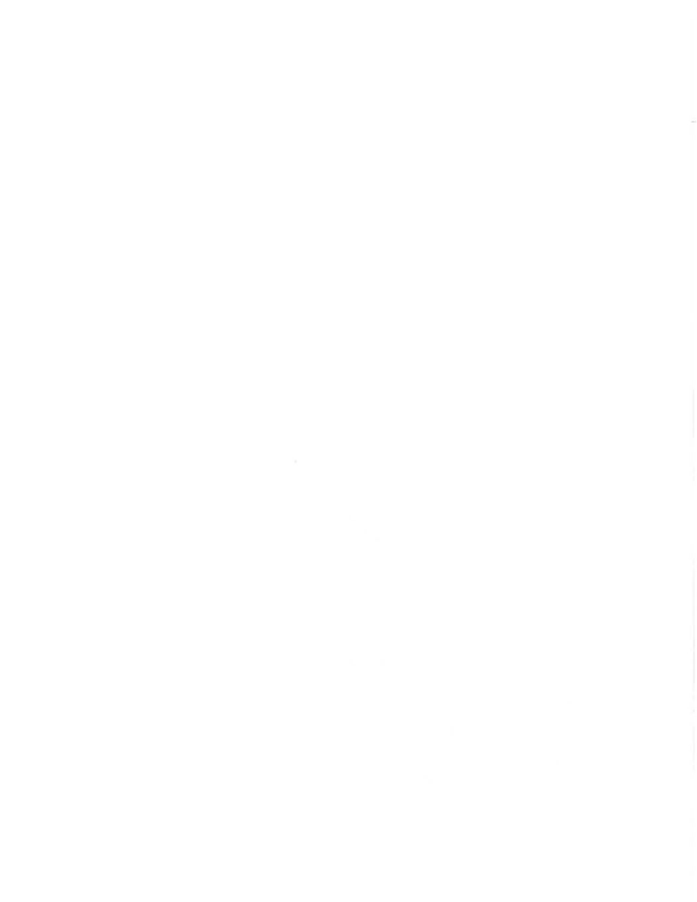Ĥ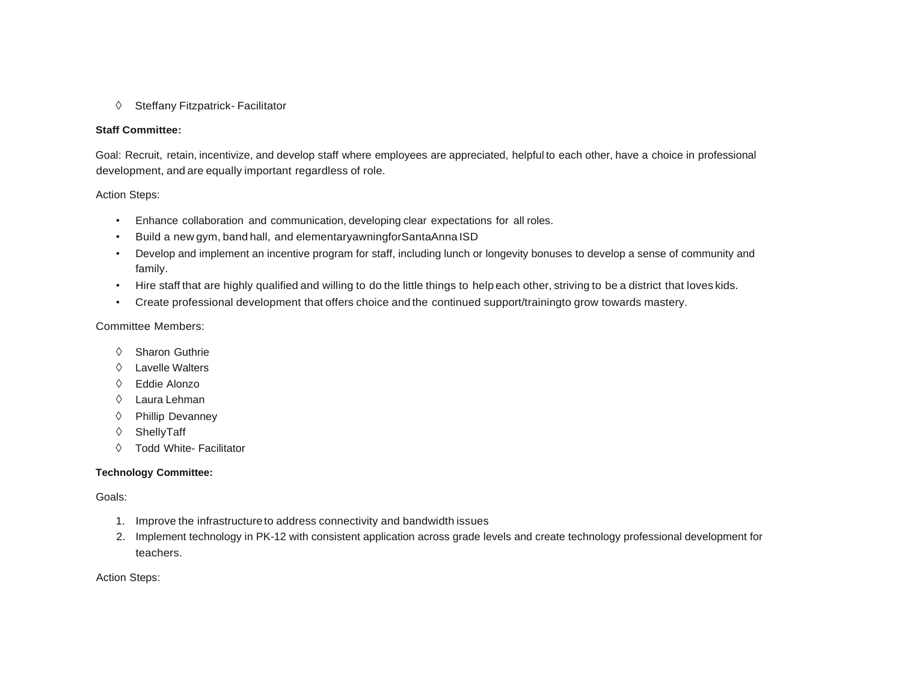#### ◊ Steffany Fitzpatrick- Facilitator

#### **Staff Committee:**

Goal: Recruit, retain, incentivize, and develop staff where employees are appreciated, helpful to each other, have a choice in professional development, and are equally important regardless of role.

#### Action Steps:

- Enhance collaboration and communication, developing clear expectations for all roles.
- Build a new gym, band hall, and elementaryawningforSantaAnna ISD
- Develop and implement an incentive program for staff, including lunch or longevity bonuses to develop a sense of community and family.
- Hire staff that are highly qualified and willing to do the little things to help each other, striving to be a district that loves kids.
- Create professional development that offers choice and the continued support/trainingto grow towards mastery.

#### Committee Members:

- ◊ Sharon Guthrie
- ◊ Lavelle Walters
- ◊ Eddie Alonzo
- ◊ Laura Lehman
- ◊ Phillip Devanney
- ◊ ShellyTaff
- ◊ Todd White- Facilitator

#### **Technology Committee:**

#### Goals:

- 1. Improve the infrastructureto address connectivity and bandwidth issues
- 2. Implement technology in PK-12 with consistent application across grade levels and create technology professional development for teachers.

Action Steps: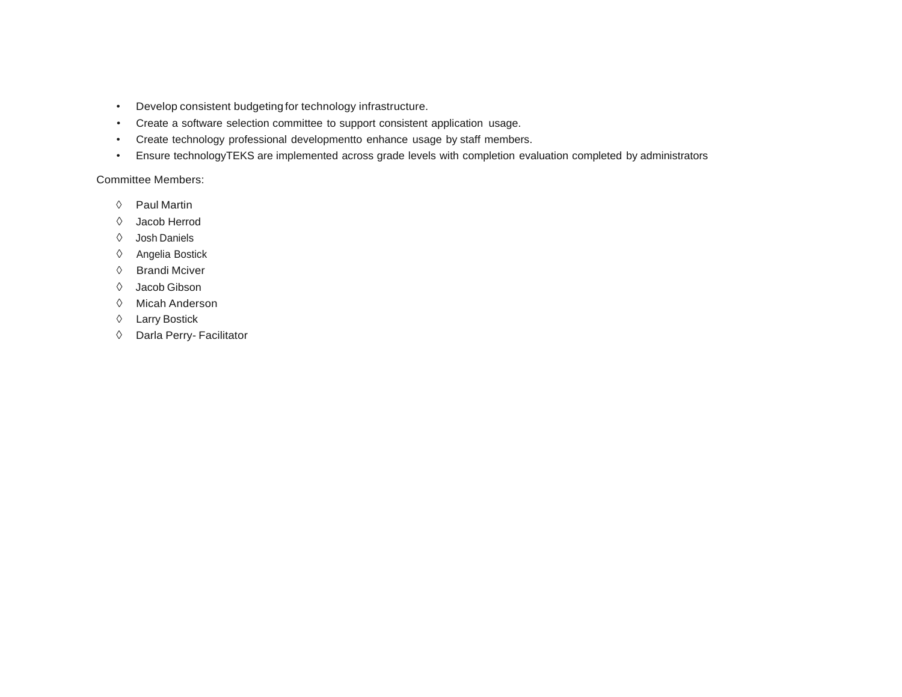- Develop consistent budgeting for technology infrastructure.
- Create a software selection committee to support consistent application usage.
- Create technology professional developmentto enhance usage by staff members.
- Ensure technologyTEKS are implemented across grade levels with completion evaluation completed by administrators

#### Committee Members:

- ◊ Paul Martin
- ◊ Jacob Herrod
- ◊ Josh Daniels
- ◊ Angelia Bostick
- ◊ Brandi Mciver
- ◊ Jacob Gibson
- ◊ Micah Anderson
- ◊ Larry Bostick
- ◊ Darla Perry- Facilitator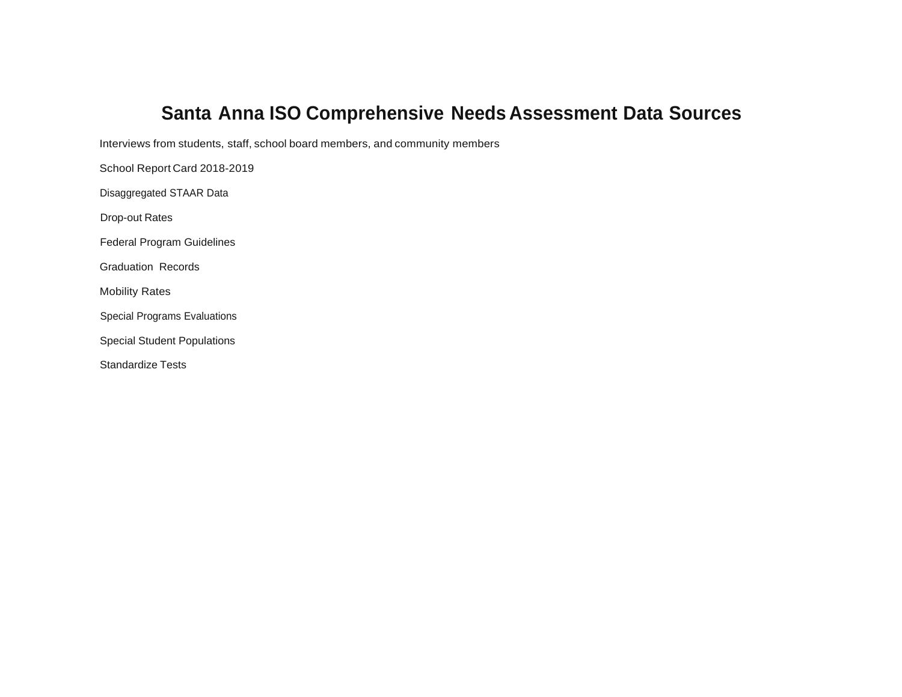# **Santa Anna ISO Comprehensive Needs Assessment Data Sources**

Interviews from students, staff, school board members, and community members

School Report Card 2018-2019 Disaggregated STAAR Data Drop-out Rates Federal Program Guidelines Graduation Records Mobility Rates Special Programs Evaluations Special Student Populations

Standardize Tests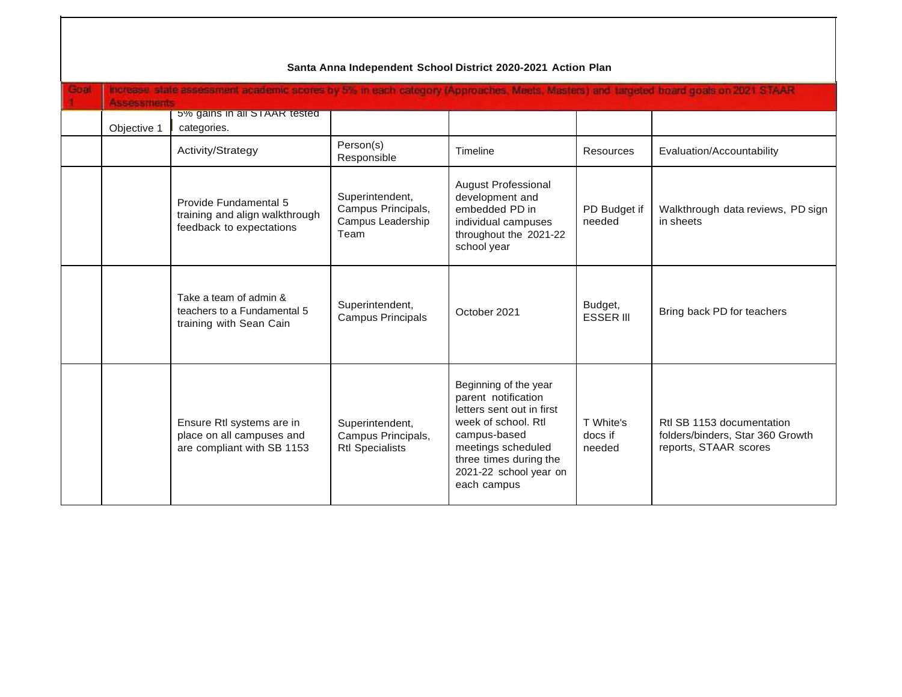| Goet | Increase, state assessment academic scores by 5% in each calegory (Approaches, Meets, Masters) and targeted board goals on 2021 STAAR<br><b>Assessments</b> |                                                                                      |                                                                    |                                                                                                                                                                                                           |                                |                                                                                        |  |
|------|-------------------------------------------------------------------------------------------------------------------------------------------------------------|--------------------------------------------------------------------------------------|--------------------------------------------------------------------|-----------------------------------------------------------------------------------------------------------------------------------------------------------------------------------------------------------|--------------------------------|----------------------------------------------------------------------------------------|--|
|      | Objective 1                                                                                                                                                 | 5% gains in all STAAR tested<br>categories.                                          |                                                                    |                                                                                                                                                                                                           |                                |                                                                                        |  |
|      |                                                                                                                                                             | Activity/Strategy                                                                    | Person(s)<br>Responsible                                           | Timeline                                                                                                                                                                                                  | Resources                      | Evaluation/Accountability                                                              |  |
|      |                                                                                                                                                             | Provide Fundamental 5<br>training and align walkthrough<br>feedback to expectations  | Superintendent,<br>Campus Principals,<br>Campus Leadership<br>Team | <b>August Professional</b><br>development and<br>embedded PD in<br>individual campuses<br>throughout the 2021-22<br>school year                                                                           | PD Budget if<br>needed         | Walkthrough data reviews, PD sign<br>in sheets                                         |  |
|      |                                                                                                                                                             | Take a team of admin &<br>teachers to a Fundamental 5<br>training with Sean Cain     | Superintendent,<br><b>Campus Principals</b>                        | October 2021                                                                                                                                                                                              | Budget,<br><b>ESSER III</b>    | Bring back PD for teachers                                                             |  |
|      |                                                                                                                                                             | Ensure Rtl systems are in<br>place on all campuses and<br>are compliant with SB 1153 | Superintendent,<br>Campus Principals,<br><b>Rtl Specialists</b>    | Beginning of the year<br>parent notification<br>letters sent out in first<br>week of school. Rtl<br>campus-based<br>meetings scheduled<br>three times during the<br>2021-22 school year on<br>each campus | T White's<br>docs if<br>needed | Rtl SB 1153 documentation<br>folders/binders, Star 360 Growth<br>reports, STAAR scores |  |

## **Santa Anna Independent School District 2020-2021 Action Plan**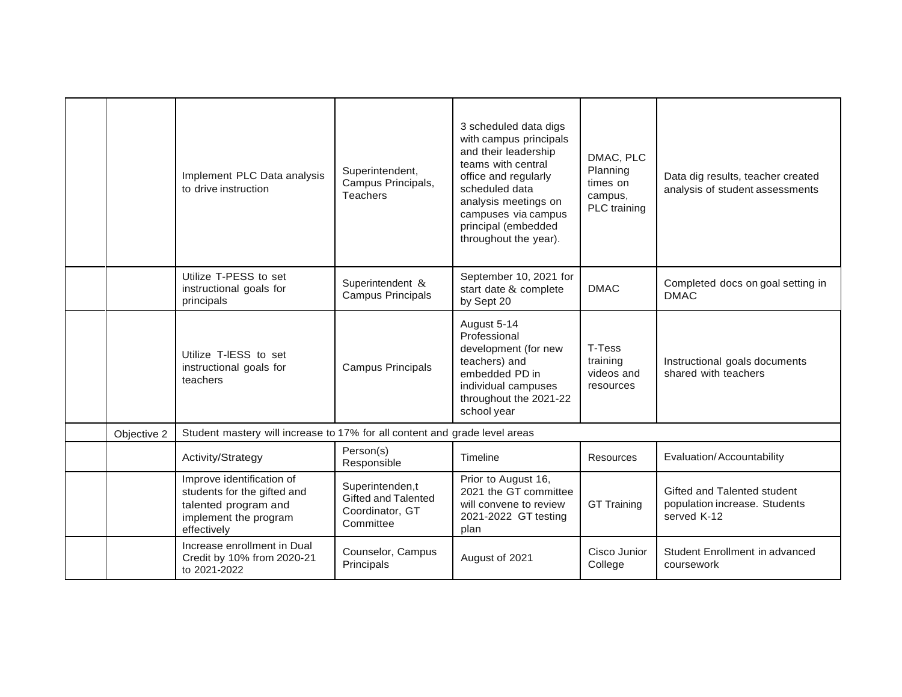|             | Implement PLC Data analysis<br>to drive instruction                                                                      | Superintendent,<br>Campus Principals,<br><b>Teachers</b>               | 3 scheduled data digs<br>with campus principals<br>and their leadership<br>teams with central<br>office and regularly<br>scheduled data<br>analysis meetings on<br>campuses via campus<br>principal (embedded<br>throughout the year). | DMAC, PLC<br>Planning<br>times on<br>campus.<br>PLC training | Data dig results, teacher created<br>analysis of student assessments        |
|-------------|--------------------------------------------------------------------------------------------------------------------------|------------------------------------------------------------------------|----------------------------------------------------------------------------------------------------------------------------------------------------------------------------------------------------------------------------------------|--------------------------------------------------------------|-----------------------------------------------------------------------------|
|             | Utilize T-PESS to set<br>instructional goals for<br>principals                                                           | Superintendent &<br><b>Campus Principals</b>                           | September 10, 2021 for<br>start date & complete<br>by Sept 20                                                                                                                                                                          | <b>DMAC</b>                                                  | Completed docs on goal setting in<br><b>DMAC</b>                            |
|             | Utilize T-IESS to set<br>instructional goals for<br>teachers                                                             | <b>Campus Principals</b>                                               | August 5-14<br>Professional<br>development (for new<br>teachers) and<br>embedded PD in<br>individual campuses<br>throughout the 2021-22<br>school year                                                                                 | T-Tess<br>training<br>videos and<br>resources                | Instructional goals documents<br>shared with teachers                       |
| Objective 2 | Student mastery will increase to 17% for all content and grade level areas                                               |                                                                        |                                                                                                                                                                                                                                        |                                                              |                                                                             |
|             | Activity/Strategy                                                                                                        | Person(s)<br>Responsible                                               | Timeline                                                                                                                                                                                                                               | Resources                                                    | Evaluation/Accountability                                                   |
|             | Improve identification of<br>students for the gifted and<br>talented program and<br>implement the program<br>effectively | Superintenden,t<br>Gifted and Talented<br>Coordinator, GT<br>Committee | Prior to August 16,<br>2021 the GT committee<br>will convene to review<br>2021-2022 GT testing<br>plan                                                                                                                                 | <b>GT Training</b>                                           | Gifted and Talented student<br>population increase. Students<br>served K-12 |
|             | Increase enrollment in Dual<br>Credit by 10% from 2020-21<br>to 2021-2022                                                | Counselor, Campus<br>Principals                                        | August of 2021                                                                                                                                                                                                                         | Cisco Junior<br>College                                      | Student Enrollment in advanced<br>coursework                                |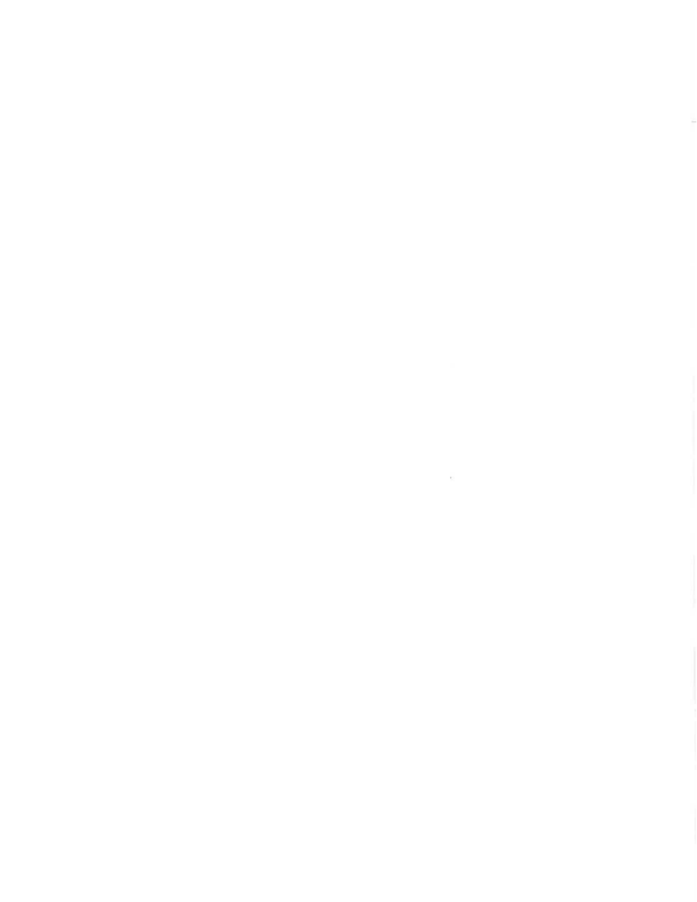$\alpha$  ,  $\alpha$  ,  $\alpha$  ,  $\alpha$  ,  $\alpha$  ,  $\alpha$ 

ř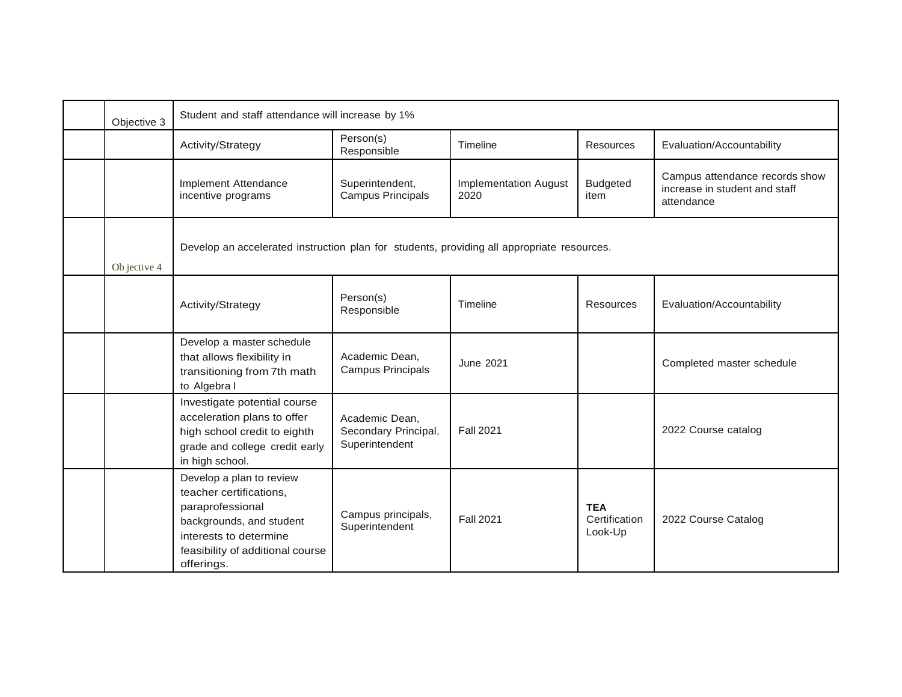| Objective 3  | Student and staff attendance will increase by 1%                                                                                                                                |                                                                                            |                                      |                                        |                                                                               |  |  |  |
|--------------|---------------------------------------------------------------------------------------------------------------------------------------------------------------------------------|--------------------------------------------------------------------------------------------|--------------------------------------|----------------------------------------|-------------------------------------------------------------------------------|--|--|--|
|              | Activity/Strategy                                                                                                                                                               | Person(s)<br>Responsible                                                                   | Timeline                             | <b>Resources</b>                       | Evaluation/Accountability                                                     |  |  |  |
|              | Implement Attendance<br>incentive programs                                                                                                                                      | Superintendent,<br><b>Campus Principals</b>                                                | <b>Implementation August</b><br>2020 | <b>Budgeted</b><br>item                | Campus attendance records show<br>increase in student and staff<br>attendance |  |  |  |
| Ob jective 4 |                                                                                                                                                                                 | Develop an accelerated instruction plan for students, providing all appropriate resources. |                                      |                                        |                                                                               |  |  |  |
|              | Activity/Strategy                                                                                                                                                               | Person(s)<br>Responsible                                                                   | Timeline                             | <b>Resources</b>                       | Evaluation/Accountability                                                     |  |  |  |
|              | Develop a master schedule<br>that allows flexibility in<br>transitioning from 7th math<br>to Algebra I                                                                          | Academic Dean,<br><b>Campus Principals</b>                                                 | <b>June 2021</b>                     |                                        | Completed master schedule                                                     |  |  |  |
|              | Investigate potential course<br>acceleration plans to offer<br>high school credit to eighth<br>grade and college credit early<br>in high school.                                | Academic Dean,<br>Secondary Principal,<br>Superintendent                                   | <b>Fall 2021</b>                     |                                        | 2022 Course catalog                                                           |  |  |  |
|              | Develop a plan to review<br>teacher certifications,<br>paraprofessional<br>backgrounds, and student<br>interests to determine<br>feasibility of additional course<br>offerings. | Campus principals,<br>Superintendent                                                       | <b>Fall 2021</b>                     | <b>TEA</b><br>Certification<br>Look-Up | 2022 Course Catalog                                                           |  |  |  |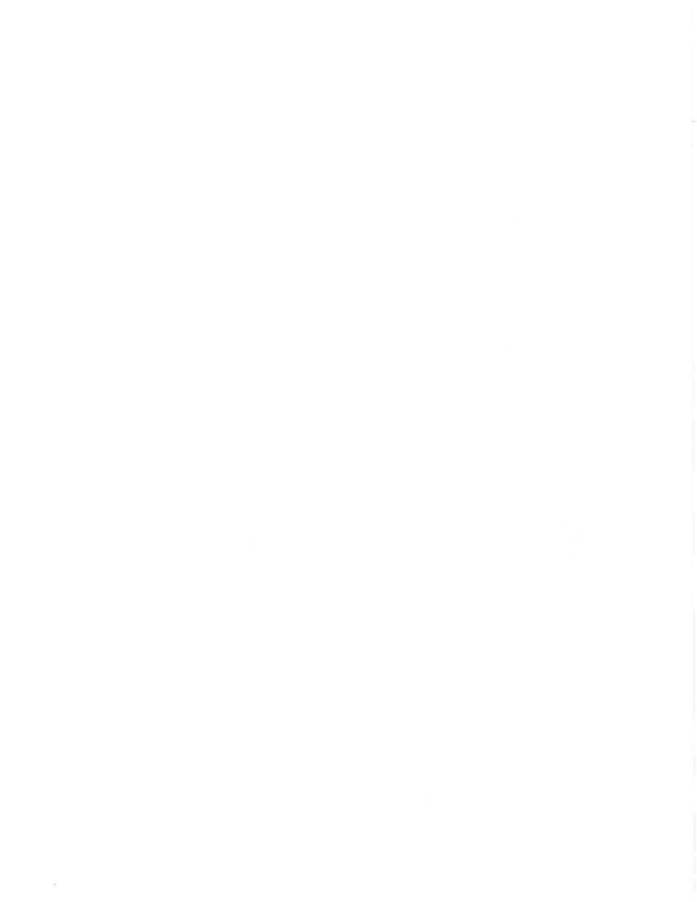Ŕ

 $\sim$   $-$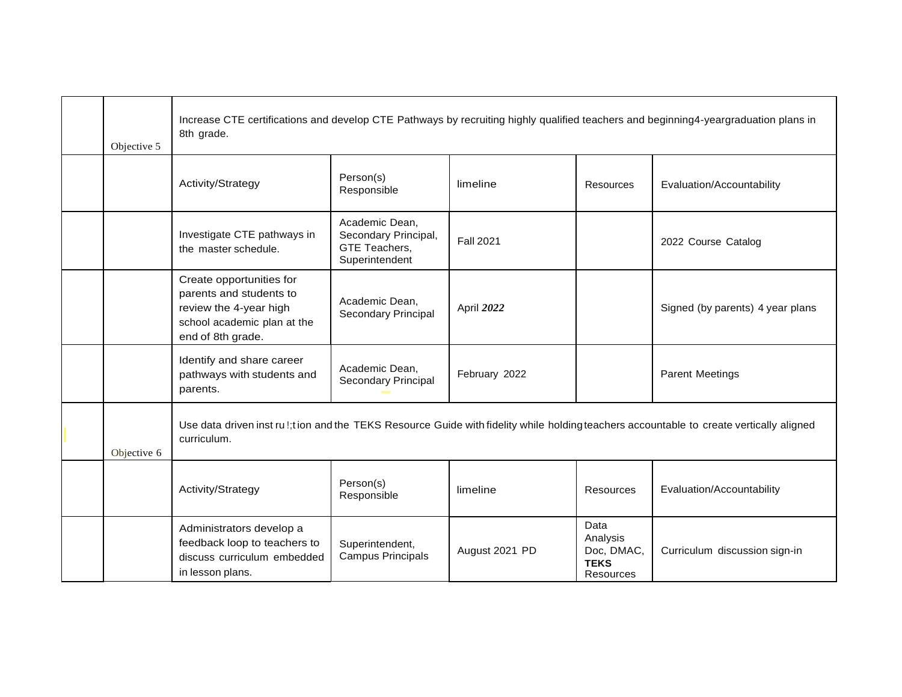| Objective 5 | 8th grade.                                                                                                                        | Increase CTE certifications and develop CTE Pathways by recruiting highly qualified teachers and beginning4-yeargraduation plans in |                  |                                                            |                                                                                                                                         |  |  |
|-------------|-----------------------------------------------------------------------------------------------------------------------------------|-------------------------------------------------------------------------------------------------------------------------------------|------------------|------------------------------------------------------------|-----------------------------------------------------------------------------------------------------------------------------------------|--|--|
|             | Activity/Strategy                                                                                                                 | Person(s)<br>Responsible                                                                                                            | limeline         | Resources                                                  | Evaluation/Accountability                                                                                                               |  |  |
|             | Investigate CTE pathways in<br>the master schedule.                                                                               | Academic Dean,<br>Secondary Principal,<br>GTE Teachers,<br>Superintendent                                                           | <b>Fall 2021</b> |                                                            | 2022 Course Catalog                                                                                                                     |  |  |
|             | Create opportunities for<br>parents and students to<br>review the 4-year high<br>school academic plan at the<br>end of 8th grade. | Academic Dean,<br>Secondary Principal                                                                                               | April 2022       |                                                            | Signed (by parents) 4 year plans                                                                                                        |  |  |
|             | Identify and share career<br>pathways with students and<br>parents.                                                               | Academic Dean,<br>Secondary Principal                                                                                               | February 2022    |                                                            | <b>Parent Meetings</b>                                                                                                                  |  |  |
| Objective 6 | curriculum.                                                                                                                       |                                                                                                                                     |                  |                                                            | Use data driven inst ru!;tion and the TEKS Resource Guide with fidelity while holding teachers accountable to create vertically aligned |  |  |
|             | Activity/Strategy                                                                                                                 | Person(s)<br>Responsible                                                                                                            | limeline         | Resources                                                  | Evaluation/Accountability                                                                                                               |  |  |
|             | Administrators develop a<br>feedback loop to teachers to<br>discuss curriculum embedded<br>in lesson plans.                       | Superintendent,<br><b>Campus Principals</b>                                                                                         | August 2021 PD   | Data<br>Analysis<br>Doc, DMAC,<br><b>TEKS</b><br>Resources | Curriculum discussion sign-in                                                                                                           |  |  |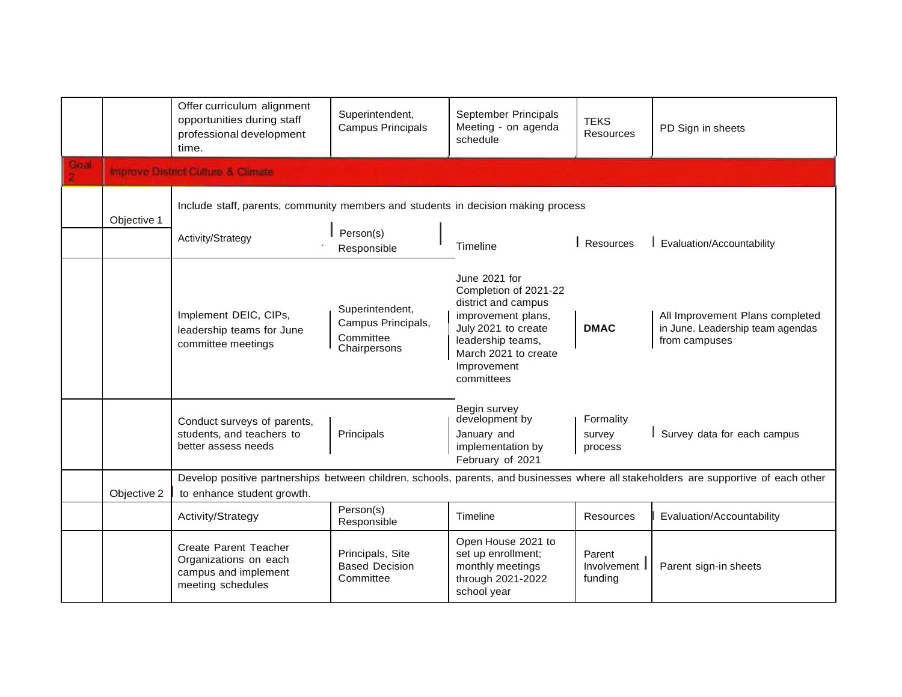|             | Offer curriculum alignment<br>opportunities during staff<br>professional development<br>time. | Superintendent,<br><b>Campus Principals</b>                        | September Principals<br>Meeting - on agenda<br>schedule                                                                                                                              | <b>TEKS</b><br>Resources         | PD Sign in sheets                                                                                                                    |  |  |
|-------------|-----------------------------------------------------------------------------------------------|--------------------------------------------------------------------|--------------------------------------------------------------------------------------------------------------------------------------------------------------------------------------|----------------------------------|--------------------------------------------------------------------------------------------------------------------------------------|--|--|
| Georgia     | <b>Improve District Culture &amp; Climate</b>                                                 |                                                                    |                                                                                                                                                                                      |                                  |                                                                                                                                      |  |  |
| Objective 1 | Include staff, parents, community members and students in decision making process             |                                                                    |                                                                                                                                                                                      |                                  |                                                                                                                                      |  |  |
|             | Activity/Strategy                                                                             | Person(s)<br>Responsible                                           | Timeline                                                                                                                                                                             | Resources                        | Evaluation/Accountability                                                                                                            |  |  |
|             | Implement DEIC, CIPs,<br>leadership teams for June<br>committee meetings                      | Superintendent,<br>Campus Principals,<br>Committee<br>Chairpersons | June 2021 for<br>Completion of 2021-22<br>district and campus<br>improvement plans,<br>July 2021 to create<br>leadership teams,<br>March 2021 to create<br>Improvement<br>committees | <b>DMAC</b>                      | All Improvement Plans completed<br>in June. Leadership team agendas<br>from campuses                                                 |  |  |
|             | Conduct surveys of parents,<br>students, and teachers to<br>better assess needs               | Principals                                                         | Begin survey<br>development by<br>January and<br>implementation by<br>February of 2021                                                                                               | Formality<br>survey<br>process   | Survey data for each campus                                                                                                          |  |  |
| Objective 2 | to enhance student growth.                                                                    |                                                                    |                                                                                                                                                                                      |                                  | Develop positive partnerships between children, schools, parents, and businesses where all stakeholders are supportive of each other |  |  |
|             | Activity/Strategy                                                                             | Person(s)<br>Responsible                                           | Timeline                                                                                                                                                                             | Resources                        | Evaluation/Accountability                                                                                                            |  |  |
|             | Create Parent Teacher<br>Organizations on each<br>campus and implement<br>meeting schedules   | Principals, Site<br><b>Based Decision</b><br>Committee             | Open House 2021 to<br>set up enrollment;<br>monthly meetings<br>through 2021-2022<br>school year                                                                                     | Parent<br>Involvement<br>funding | Parent sign-in sheets                                                                                                                |  |  |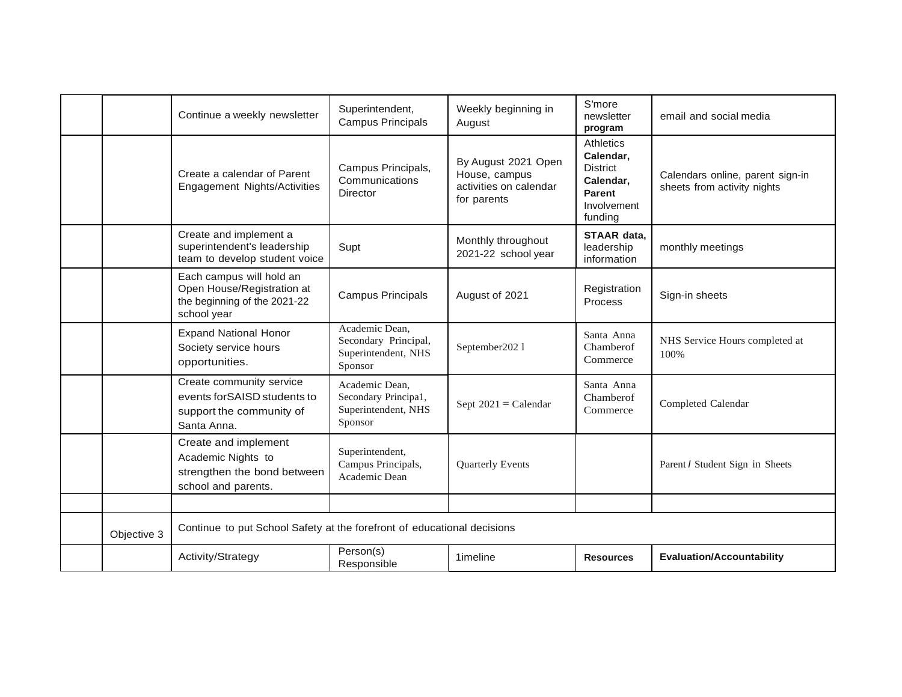|             | Continue a weekly newsletter                                                                          | Superintendent,<br><b>Campus Principals</b>                              | Weekly beginning in<br>August                                                 | S'more<br>newsletter<br>program                                                                          | email and social media                                          |  |
|-------------|-------------------------------------------------------------------------------------------------------|--------------------------------------------------------------------------|-------------------------------------------------------------------------------|----------------------------------------------------------------------------------------------------------|-----------------------------------------------------------------|--|
|             | Create a calendar of Parent<br>Engagement Nights/Activities                                           | Campus Principals,<br>Communications<br><b>Director</b>                  | By August 2021 Open<br>House, campus<br>activities on calendar<br>for parents | <b>Athletics</b><br>Calendar,<br><b>District</b><br>Calendar,<br><b>Parent</b><br>Involvement<br>funding | Calendars online, parent sign-in<br>sheets from activity nights |  |
|             | Create and implement a<br>superintendent's leadership<br>team to develop student voice                | Supt                                                                     | Monthly throughout<br>2021-22 school year                                     | STAAR data.<br>leadership<br>information                                                                 | monthly meetings                                                |  |
|             | Each campus will hold an<br>Open House/Registration at<br>the beginning of the 2021-22<br>school year | <b>Campus Principals</b>                                                 | August of 2021                                                                | Registration<br>Process                                                                                  | Sign-in sheets                                                  |  |
|             | <b>Expand National Honor</b><br>Society service hours<br>opportunities.                               | Academic Dean,<br>Secondary Principal,<br>Superintendent, NHS<br>Sponsor | September2021                                                                 | Santa Anna<br>Chamberof<br>Commerce                                                                      | NHS Service Hours completed at<br>100%                          |  |
|             | Create community service<br>events for SAISD students to<br>support the community of<br>Santa Anna.   | Academic Dean,<br>Secondary Principa1,<br>Superintendent, NHS<br>Sponsor | Sept $2021 =$ Calendar                                                        | Santa Anna<br>Chamberof<br>Commerce                                                                      | Completed Calendar                                              |  |
|             | Create and implement<br>Academic Nights to<br>strengthen the bond between<br>school and parents.      | Superintendent,<br>Campus Principals,<br>Academic Dean                   | <b>Quarterly Events</b>                                                       |                                                                                                          | Parent / Student Sign in Sheets                                 |  |
|             |                                                                                                       |                                                                          |                                                                               |                                                                                                          |                                                                 |  |
| Objective 3 | Continue to put School Safety at the forefront of educational decisions                               |                                                                          |                                                                               |                                                                                                          |                                                                 |  |
|             | Activity/Strategy                                                                                     | Person(s)<br>Responsible                                                 | 1imeline                                                                      | <b>Resources</b>                                                                                         | <b>Evaluation/Accountability</b>                                |  |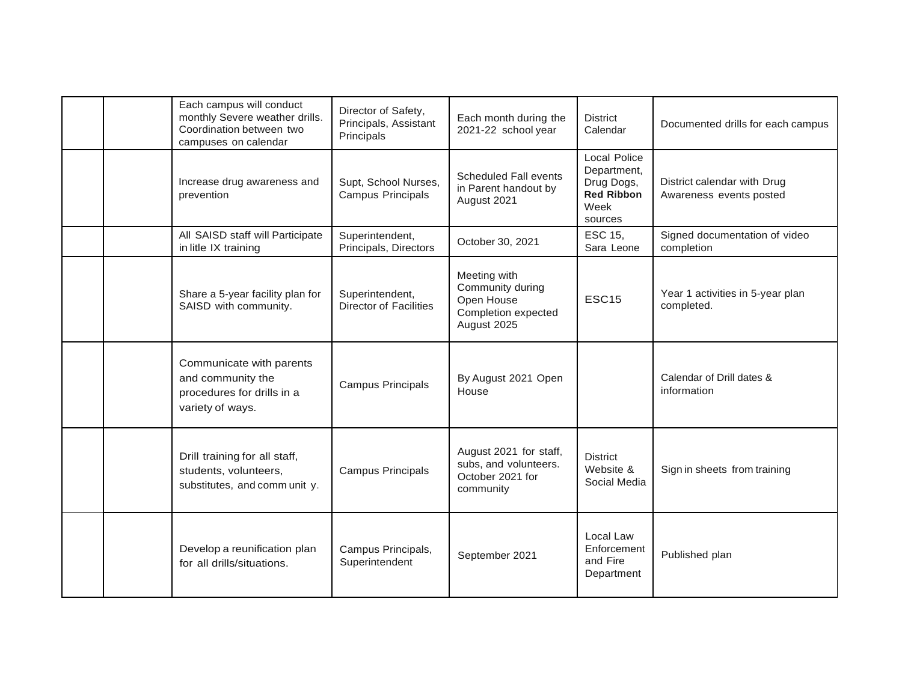|  | Each campus will conduct<br>monthly Severe weather drills.<br>Coordination between two<br>campuses on calendar | Director of Safety,<br>Principals, Assistant<br>Principals | Each month during the<br>2021-22 school year                                         | <b>District</b><br>Calendar                                                              | Documented drills for each campus                      |
|--|----------------------------------------------------------------------------------------------------------------|------------------------------------------------------------|--------------------------------------------------------------------------------------|------------------------------------------------------------------------------------------|--------------------------------------------------------|
|  | Increase drug awareness and<br>prevention                                                                      | Supt, School Nurses,<br>Campus Principals                  | <b>Scheduled Fall events</b><br>in Parent handout by<br>August 2021                  | <b>Local Police</b><br>Department,<br>Drug Dogs,<br><b>Red Ribbon</b><br>Week<br>sources | District calendar with Drug<br>Awareness events posted |
|  | All SAISD staff will Participate<br>in litle IX training                                                       | Superintendent,<br>Principals, Directors                   | October 30, 2021                                                                     | <b>ESC 15,</b><br>Sara Leone                                                             | Signed documentation of video<br>completion            |
|  | Share a 5-year facility plan for<br>SAISD with community.                                                      | Superintendent,<br><b>Director of Facilities</b>           | Meeting with<br>Community during<br>Open House<br>Completion expected<br>August 2025 | ESC <sub>15</sub>                                                                        | Year 1 activities in 5-year plan<br>completed.         |
|  | Communicate with parents<br>and community the<br>procedures for drills in a<br>variety of ways.                | <b>Campus Principals</b>                                   | By August 2021 Open<br>House                                                         |                                                                                          | Calendar of Drill dates &<br>information               |
|  | Drill training for all staff,<br>students, volunteers,<br>substitutes, and comm unit y.                        | <b>Campus Principals</b>                                   | August 2021 for staff,<br>subs, and volunteers.<br>October 2021 for<br>community     | <b>District</b><br>Website &<br>Social Media                                             | Sign in sheets from training                           |
|  | Develop a reunification plan<br>for all drills/situations.                                                     | Campus Principals,<br>Superintendent                       | September 2021                                                                       | Local Law<br>Enforcement<br>and Fire<br>Department                                       | Published plan                                         |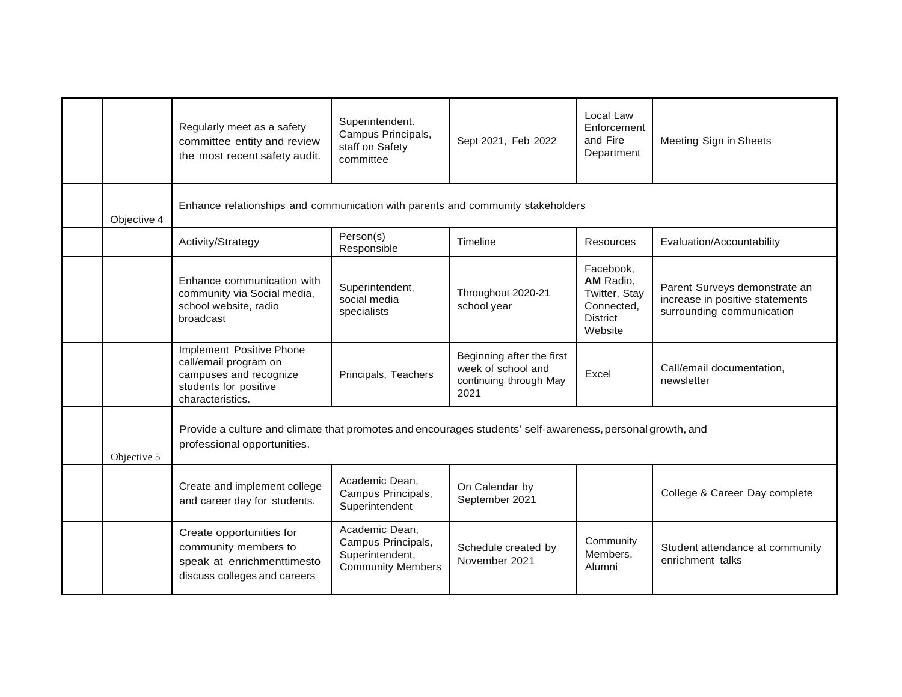|             | Regularly meet as a safety<br>committee entity and review<br>the most recent safety audit.                                               | Superintendent.<br>Campus Principals,<br>staff on Safety<br>committee               | Sept 2021, Feb 2022                                                               | Local Law<br>Enforcement<br>and Fire<br>Department                                  | Meeting Sign in Sheets                                                                        |  |  |  |
|-------------|------------------------------------------------------------------------------------------------------------------------------------------|-------------------------------------------------------------------------------------|-----------------------------------------------------------------------------------|-------------------------------------------------------------------------------------|-----------------------------------------------------------------------------------------------|--|--|--|
| Objective 4 |                                                                                                                                          | Enhance relationships and communication with parents and community stakeholders     |                                                                                   |                                                                                     |                                                                                               |  |  |  |
|             | Activity/Strategy                                                                                                                        | Person(s)<br>Responsible                                                            | Timeline                                                                          | <b>Resources</b>                                                                    | Evaluation/Accountability                                                                     |  |  |  |
|             | Enhance communication with<br>community via Social media,<br>school website, radio<br>broadcast                                          | Superintendent,<br>social media<br>specialists                                      | Throughout 2020-21<br>school year                                                 | Facebook,<br>AM Radio,<br>Twitter, Stay<br>Connected,<br><b>District</b><br>Website | Parent Surveys demonstrate an<br>increase in positive statements<br>surrounding communication |  |  |  |
|             | Implement Positive Phone<br>call/email program on<br>campuses and recognize<br>students for positive<br>characteristics.                 | Principals, Teachers                                                                | Beginning after the first<br>week of school and<br>continuing through May<br>2021 | Excel                                                                               | Call/email documentation,<br>newsletter                                                       |  |  |  |
| Objective 5 | Provide a culture and climate that promotes and encourages students' self-awareness, personal growth, and<br>professional opportunities. |                                                                                     |                                                                                   |                                                                                     |                                                                                               |  |  |  |
|             | Create and implement college<br>and career day for students.                                                                             | Academic Dean,<br>Campus Principals,<br>Superintendent                              | On Calendar by<br>September 2021                                                  |                                                                                     | College & Career Day complete                                                                 |  |  |  |
|             | Create opportunities for<br>community members to<br>speak at enrichmenttimesto<br>discuss colleges and careers                           | Academic Dean,<br>Campus Principals,<br>Superintendent,<br><b>Community Members</b> | Schedule created by<br>November 2021                                              | Community<br>Members,<br>Alumni                                                     | Student attendance at community<br>enrichment talks                                           |  |  |  |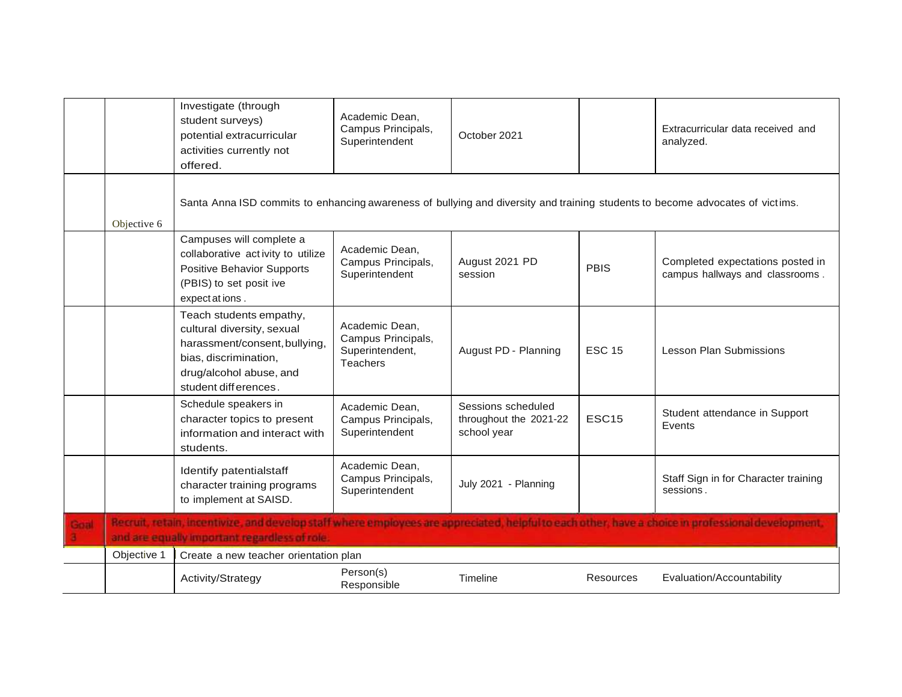|      |             | Investigate (through<br>student surveys)<br>potential extracurricular<br>activities currently not<br>offered.                                                      | Academic Dean,<br>Campus Principals,<br>Superintendent                     | October 2021                                                |                   | Extracurricular data received and<br>analyzed.                                                                                                     |  |  |
|------|-------------|--------------------------------------------------------------------------------------------------------------------------------------------------------------------|----------------------------------------------------------------------------|-------------------------------------------------------------|-------------------|----------------------------------------------------------------------------------------------------------------------------------------------------|--|--|
|      | Objective 6 | Santa Anna ISD commits to enhancing awareness of bullying and diversity and training students to become advocates of victims.                                      |                                                                            |                                                             |                   |                                                                                                                                                    |  |  |
|      |             | Campuses will complete a<br>collaborative activity to utilize<br><b>Positive Behavior Supports</b><br>(PBIS) to set posit ive<br>expect at ions.                   | Academic Dean,<br>Campus Principals,<br>Superintendent                     | August 2021 PD<br>session                                   | <b>PBIS</b>       | Completed expectations posted in<br>campus hallways and classrooms.                                                                                |  |  |
|      |             | Teach students empathy,<br>cultural diversity, sexual<br>harassment/consent, bullying,<br>bias, discrimination,<br>drug/alcohol abuse, and<br>student differences. | Academic Dean,<br>Campus Principals,<br>Superintendent,<br><b>Teachers</b> | August PD - Planning                                        | <b>ESC 15</b>     | <b>Lesson Plan Submissions</b>                                                                                                                     |  |  |
|      |             | Schedule speakers in<br>character topics to present<br>information and interact with<br>students.                                                                  | Academic Dean,<br>Campus Principals,<br>Superintendent                     | Sessions scheduled<br>throughout the 2021-22<br>school year | ESC <sub>15</sub> | Student attendance in Support<br>Events                                                                                                            |  |  |
|      |             | Identify patentialstaff<br>character training programs<br>to implement at SAISD.                                                                                   | Academic Dean,<br>Campus Principals,<br>Superintendent                     | July 2021 - Planning                                        |                   | Staff Sign in for Character training<br>sessions.                                                                                                  |  |  |
| Goal |             | and are equally important regardless of role.                                                                                                                      |                                                                            |                                                             |                   | Recruit, retain, incentivize, and develop staff where employees are appreciated, helpful to each other, have a choice in professional development, |  |  |
|      | Objective 1 | Create a new teacher orientation plan                                                                                                                              |                                                                            |                                                             |                   |                                                                                                                                                    |  |  |
|      |             | Activity/Strategy                                                                                                                                                  | Person(s)<br>Responsible                                                   | Timeline                                                    | Resources         | Evaluation/Accountability                                                                                                                          |  |  |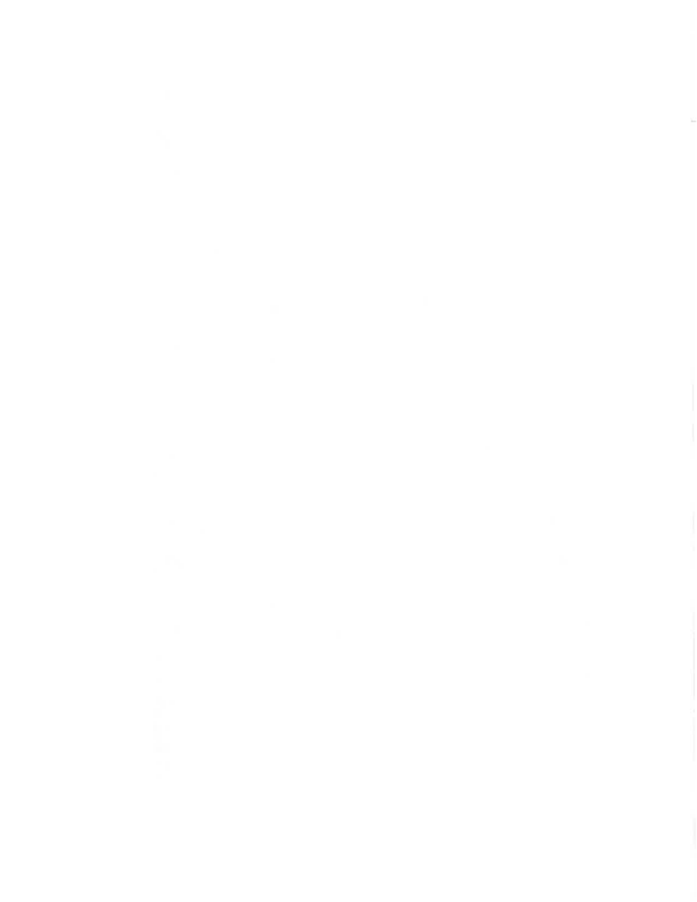×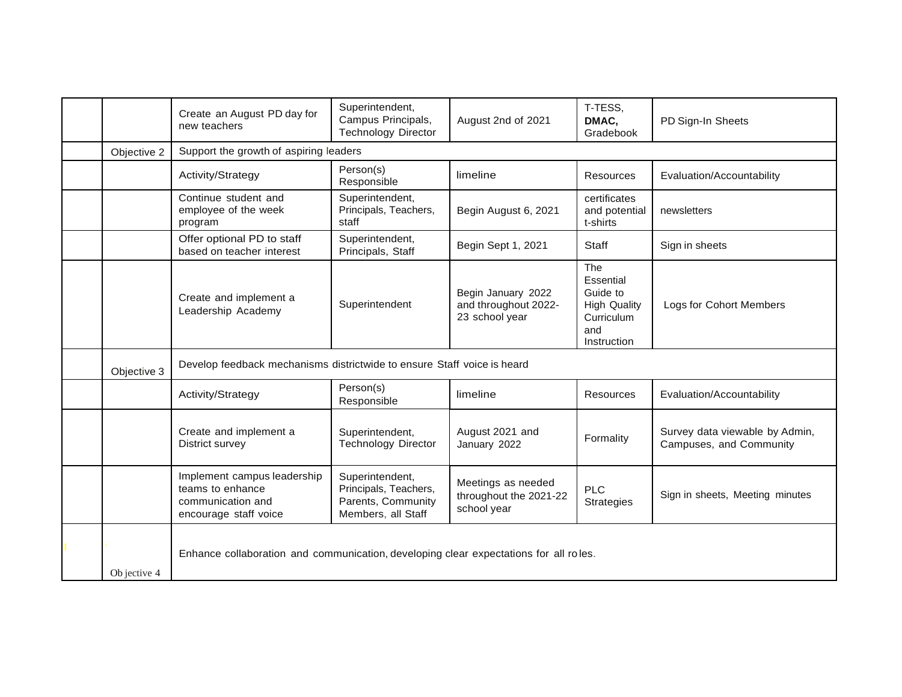|              | Create an August PD day for<br>new teachers                                                   | Superintendent,<br>Campus Principals,<br><b>Technology Director</b>                  | August 2nd of 2021                                           | T-TESS,<br>DMAC,<br>Gradebook                                                           | PD Sign-In Sheets                                         |  |  |  |
|--------------|-----------------------------------------------------------------------------------------------|--------------------------------------------------------------------------------------|--------------------------------------------------------------|-----------------------------------------------------------------------------------------|-----------------------------------------------------------|--|--|--|
| Objective 2  |                                                                                               | Support the growth of aspiring leaders                                               |                                                              |                                                                                         |                                                           |  |  |  |
|              | Activity/Strategy                                                                             | Person(s)<br>Responsible                                                             | limeline                                                     | Resources                                                                               | Evaluation/Accountability                                 |  |  |  |
|              | Continue student and<br>employee of the week<br>program                                       | Superintendent,<br>Principals, Teachers,<br>staff                                    | Begin August 6, 2021                                         | certificates<br>and potential<br>t-shirts                                               | newsletters                                               |  |  |  |
|              | Offer optional PD to staff<br>based on teacher interest                                       | Superintendent,<br>Principals, Staff                                                 | Begin Sept 1, 2021                                           | <b>Staff</b>                                                                            | Sign in sheets                                            |  |  |  |
|              | Create and implement a<br>Leadership Academy                                                  | Superintendent                                                                       | Begin January 2022<br>and throughout 2022-<br>23 school year | The<br>Essential<br>Guide to<br><b>High Quality</b><br>Curriculum<br>and<br>Instruction | Logs for Cohort Members                                   |  |  |  |
| Objective 3  | Develop feedback mechanisms districtwide to ensure Staff voice is heard                       |                                                                                      |                                                              |                                                                                         |                                                           |  |  |  |
|              | Activity/Strategy                                                                             | Person(s)<br>Responsible                                                             | limeline                                                     | Resources                                                                               | Evaluation/Accountability                                 |  |  |  |
|              | Create and implement a<br>District survey                                                     | Superintendent,<br><b>Technology Director</b>                                        | August 2021 and<br>January 2022                              | Formality                                                                               | Survey data viewable by Admin,<br>Campuses, and Community |  |  |  |
|              | Implement campus leadership<br>teams to enhance<br>communication and<br>encourage staff voice | Superintendent,<br>Principals, Teachers,<br>Parents, Community<br>Members, all Staff | Meetings as needed<br>throughout the 2021-22<br>school year  | <b>PLC</b><br><b>Strategies</b>                                                         | Sign in sheets, Meeting minutes                           |  |  |  |
| Ob jective 4 | Enhance collaboration and communication, developing clear expectations for all roles.         |                                                                                      |                                                              |                                                                                         |                                                           |  |  |  |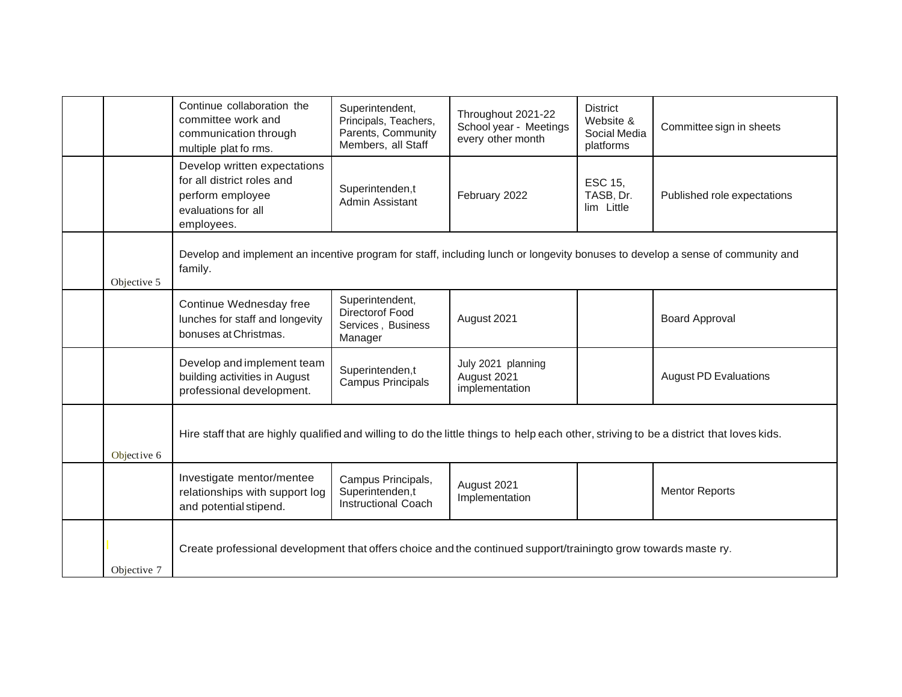|             | Continue collaboration the<br>committee work and<br>communication through<br>multiple plat fo rms.                                        | Superintendent,<br>Principals, Teachers,<br>Parents, Community<br>Members, all Staff | Throughout 2021-22<br>School year - Meetings<br>every other month | <b>District</b><br>Website &<br>Social Media<br>platforms | Committee sign in sheets     |  |  |
|-------------|-------------------------------------------------------------------------------------------------------------------------------------------|--------------------------------------------------------------------------------------|-------------------------------------------------------------------|-----------------------------------------------------------|------------------------------|--|--|
|             | Develop written expectations<br>for all district roles and<br>perform employee<br>evaluations for all<br>employees.                       | Superintenden,t<br>Admin Assistant                                                   | February 2022                                                     | ESC 15,<br>TASB, Dr.<br>lim Little                        | Published role expectations  |  |  |
| Objective 5 | Develop and implement an incentive program for staff, including lunch or longevity bonuses to develop a sense of community and<br>family. |                                                                                      |                                                                   |                                                           |                              |  |  |
|             | Continue Wednesday free<br>lunches for staff and longevity<br>bonuses at Christmas.                                                       | Superintendent,<br>Directorof Food<br>Services, Business<br>Manager                  | August 2021                                                       |                                                           | <b>Board Approval</b>        |  |  |
|             | Develop and implement team<br>building activities in August<br>professional development.                                                  | Superintenden,t<br><b>Campus Principals</b>                                          | July 2021 planning<br>August 2021<br>implementation               |                                                           | <b>August PD Evaluations</b> |  |  |
| Objective 6 | Hire staff that are highly qualified and willing to do the little things to help each other, striving to be a district that loves kids.   |                                                                                      |                                                                   |                                                           |                              |  |  |
|             | Investigate mentor/mentee<br>relationships with support log<br>and potential stipend.                                                     | Campus Principals,<br>Superintenden,t<br><b>Instructional Coach</b>                  | August 2021<br>Implementation                                     |                                                           | <b>Mentor Reports</b>        |  |  |
| Objective 7 | Create professional development that offers choice and the continued support/trainingto grow towards maste ry.                            |                                                                                      |                                                                   |                                                           |                              |  |  |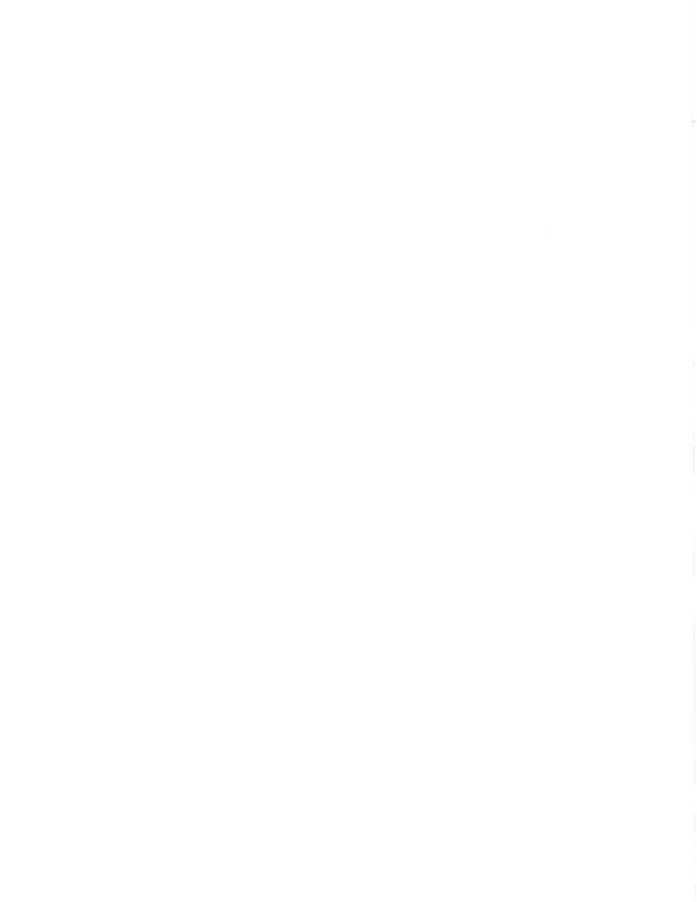ř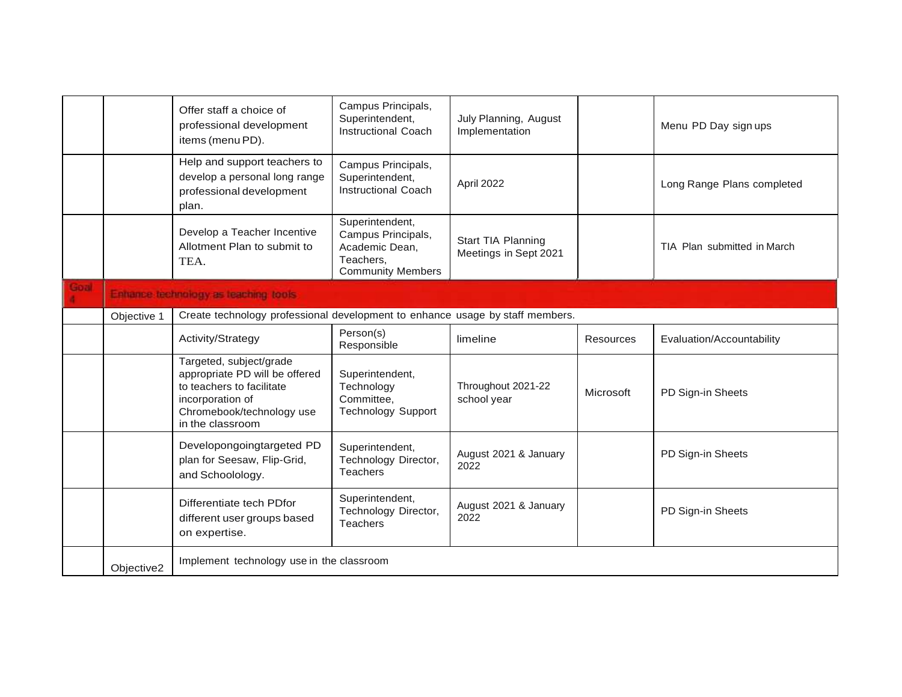|      |                        | Offer staff a choice of<br>professional development<br>items (menu PD).                                                                                     | Campus Principals,<br>Superintendent,<br><b>Instructional Coach</b>                              | July Planning, August<br>Implementation     |                  | Menu PD Day sign ups        |  |  |
|------|------------------------|-------------------------------------------------------------------------------------------------------------------------------------------------------------|--------------------------------------------------------------------------------------------------|---------------------------------------------|------------------|-----------------------------|--|--|
|      |                        | Help and support teachers to<br>develop a personal long range<br>professional development<br>plan.                                                          | Campus Principals,<br>Superintendent,<br><b>Instructional Coach</b>                              | April 2022                                  |                  | Long Range Plans completed  |  |  |
|      |                        | Develop a Teacher Incentive<br>Allotment Plan to submit to<br>TEA.                                                                                          | Superintendent,<br>Campus Principals,<br>Academic Dean,<br>Teachers,<br><b>Community Members</b> | Start TIA Planning<br>Meetings in Sept 2021 |                  | TIA Plan submitted in March |  |  |
| Goal |                        | Enhance technology as feaching tools                                                                                                                        |                                                                                                  |                                             |                  |                             |  |  |
|      | Objective 1            | Create technology professional development to enhance usage by staff members.                                                                               |                                                                                                  |                                             |                  |                             |  |  |
|      |                        | Activity/Strategy                                                                                                                                           | Person(s)<br>Responsible                                                                         | limeline                                    | <b>Resources</b> | Evaluation/Accountability   |  |  |
|      |                        | Targeted, subject/grade<br>appropriate PD will be offered<br>to teachers to facilitate<br>incorporation of<br>Chromebook/technology use<br>in the classroom | Superintendent,<br>Technology<br>Committee,<br><b>Technology Support</b>                         | Throughout 2021-22<br>school year           | Microsoft        | PD Sign-in Sheets           |  |  |
|      |                        | Developongoingtargeted PD<br>plan for Seesaw, Flip-Grid,<br>and Schoolology.                                                                                | Superintendent,<br>Technology Director,<br><b>Teachers</b>                                       | August 2021 & January<br>2022               |                  | PD Sign-in Sheets           |  |  |
|      |                        | Differentiate tech PDfor<br>different user groups based<br>on expertise.                                                                                    | Superintendent,<br>Technology Director,<br><b>Teachers</b>                                       | August 2021 & January<br>2022               |                  | PD Sign-in Sheets           |  |  |
|      | Objective <sub>2</sub> | Implement technology use in the classroom                                                                                                                   |                                                                                                  |                                             |                  |                             |  |  |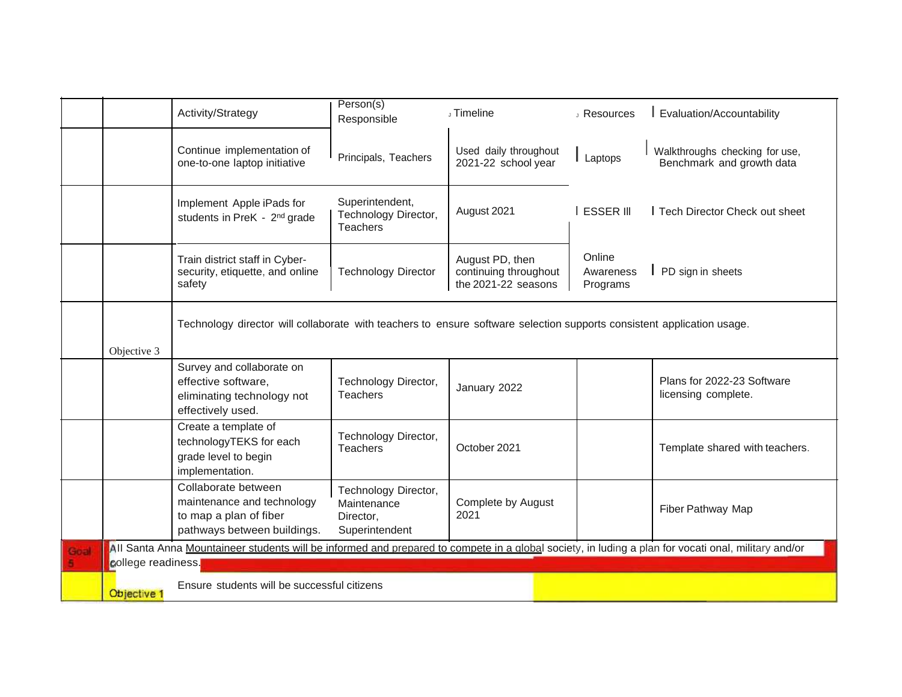|      |                                                                                                                                                                           | Activity/Strategy                                                                                                      | Person(s)<br>Responsible                                           | J Timeline                                                      | J Resources                     | Evaluation/Accountability                                   |
|------|---------------------------------------------------------------------------------------------------------------------------------------------------------------------------|------------------------------------------------------------------------------------------------------------------------|--------------------------------------------------------------------|-----------------------------------------------------------------|---------------------------------|-------------------------------------------------------------|
|      |                                                                                                                                                                           | Continue implementation of<br>one-to-one laptop initiative                                                             | Principals, Teachers                                               | Used daily throughout<br>2021-22 school year                    | Laptops                         | Walkthroughs checking for use,<br>Benchmark and growth data |
|      |                                                                                                                                                                           | Implement Apple iPads for<br>students in PreK - 2 <sup>nd</sup> grade                                                  | Superintendent,<br>Technology Director,<br><b>Teachers</b>         | August 2021                                                     | <b>ESSER III</b>                | Tech Director Check out sheet                               |
|      |                                                                                                                                                                           | Train district staff in Cyber-<br>security, etiquette, and online<br>safety                                            | <b>Technology Director</b>                                         | August PD, then<br>continuing throughout<br>the 2021-22 seasons | Online<br>Awareness<br>Programs | PD sign in sheets                                           |
|      | Objective 3                                                                                                                                                               | Technology director will collaborate with teachers to ensure software selection supports consistent application usage. |                                                                    |                                                                 |                                 |                                                             |
|      |                                                                                                                                                                           | Survey and collaborate on<br>effective software,<br>eliminating technology not<br>effectively used.                    | Technology Director,<br><b>Teachers</b>                            | January 2022                                                    |                                 | Plans for 2022-23 Software<br>licensing complete.           |
|      |                                                                                                                                                                           | Create a template of<br>technologyTEKS for each<br>grade level to begin<br>implementation.                             | Technology Director,<br>Teachers                                   | October 2021                                                    |                                 | Template shared with teachers.                              |
|      |                                                                                                                                                                           | Collaborate between<br>maintenance and technology<br>to map a plan of fiber<br>pathways between buildings.             | Technology Director,<br>Maintenance<br>Director,<br>Superintendent | Complete by August<br>2021                                      |                                 | Fiber Pathway Map                                           |
| Goal | All Santa Anna Mountaineer students will be informed and prepared to compete in a global society, in luding a plan for vocati onal, military and/or<br>college readiness. |                                                                                                                        |                                                                    |                                                                 |                                 |                                                             |
|      | Objective 1                                                                                                                                                               | Ensure students will be successful citizens                                                                            |                                                                    |                                                                 |                                 |                                                             |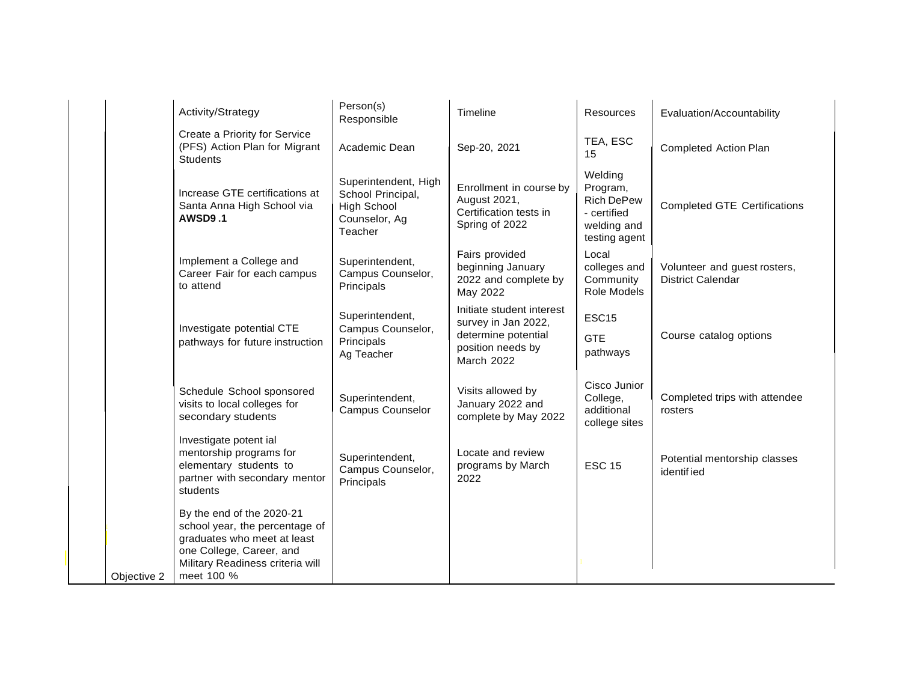|             | Activity/Strategy                                                                                                                                                        | Person(s)<br>Responsible                                                                    | Timeline                                                                                                   | Resources                                                                               | Evaluation/Accountability                                |
|-------------|--------------------------------------------------------------------------------------------------------------------------------------------------------------------------|---------------------------------------------------------------------------------------------|------------------------------------------------------------------------------------------------------------|-----------------------------------------------------------------------------------------|----------------------------------------------------------|
|             | Create a Priority for Service<br>(PFS) Action Plan for Migrant<br><b>Students</b>                                                                                        | Academic Dean                                                                               | Sep-20, 2021                                                                                               | TEA, ESC<br>15                                                                          | Completed Action Plan                                    |
|             | Increase GTE certifications at<br>Santa Anna High School via<br><b>AWSD9.1</b>                                                                                           | Superintendent, High<br>School Principal,<br><b>High School</b><br>Counselor, Ag<br>Teacher | Enrollment in course by<br>August 2021,<br>Certification tests in<br>Spring of 2022                        | Welding<br>Program,<br><b>Rich DePew</b><br>- certified<br>welding and<br>testing agent | <b>Completed GTE Certifications</b>                      |
|             | Implement a College and<br>Career Fair for each campus<br>to attend                                                                                                      | Superintendent,<br>Campus Counselor,<br>Principals                                          | Fairs provided<br>beginning January<br>2022 and complete by<br>May 2022                                    | Local<br>colleges and<br>Community<br>Role Models                                       | Volunteer and guest rosters,<br><b>District Calendar</b> |
|             | Investigate potential CTE<br>pathways for future instruction                                                                                                             | Superintendent,<br>Campus Counselor,<br>Principals<br>Ag Teacher                            | Initiate student interest<br>survey in Jan 2022,<br>determine potential<br>position needs by<br>March 2022 | ESC <sub>15</sub><br><b>GTE</b><br>pathways                                             | Course catalog options                                   |
|             | Schedule School sponsored<br>visits to local colleges for<br>secondary students                                                                                          | Superintendent,<br><b>Campus Counselor</b>                                                  | Visits allowed by<br>January 2022 and<br>complete by May 2022                                              | Cisco Junior<br>College,<br>additional<br>college sites                                 | Completed trips with attendee<br>rosters                 |
|             | Investigate potent ial<br>mentorship programs for<br>elementary students to<br>partner with secondary mentor<br>students                                                 | Superintendent,<br>Campus Counselor,<br>Principals                                          | Locate and review<br>programs by March<br>2022                                                             | <b>ESC 15</b>                                                                           | Potential mentorship classes<br>identif ied              |
| Objective 2 | By the end of the 2020-21<br>school year, the percentage of<br>graduates who meet at least<br>one College, Career, and<br>Military Readiness criteria will<br>meet 100 % |                                                                                             |                                                                                                            |                                                                                         |                                                          |

I

I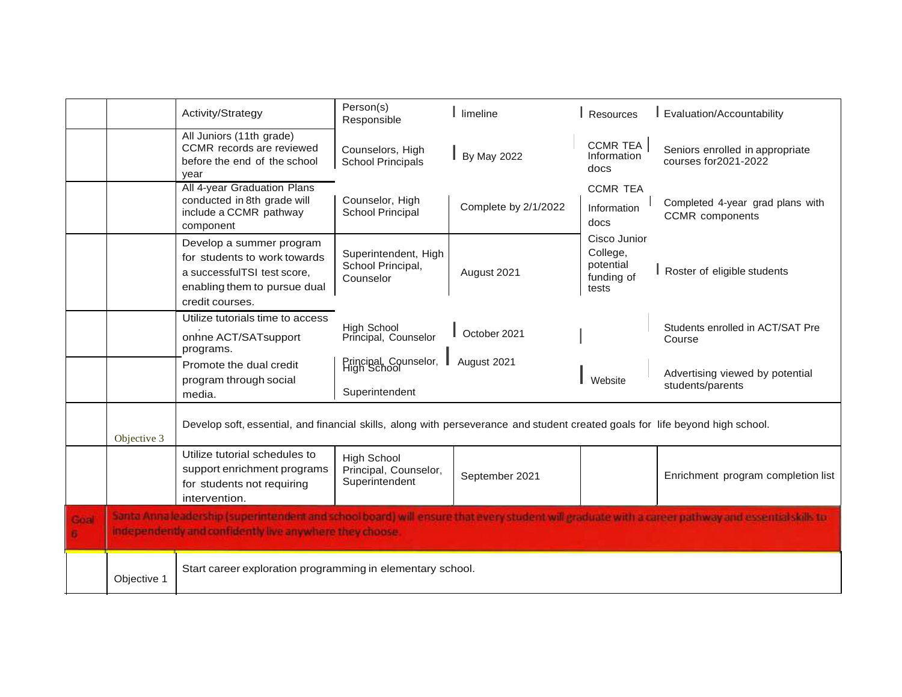|      |             | Activity/Strategy                                                                                                                          | Person(s)<br>Responsible                                      | limeline             | Resources                                                    | Evaluation/Accountability                                                                                                                          |
|------|-------------|--------------------------------------------------------------------------------------------------------------------------------------------|---------------------------------------------------------------|----------------------|--------------------------------------------------------------|----------------------------------------------------------------------------------------------------------------------------------------------------|
|      |             | All Juniors (11th grade)<br>CCMR records are reviewed<br>before the end of the school<br>year                                              | Counselors, High<br><b>School Principals</b>                  | By May 2022          | <b>CCMR TEA</b><br>Information<br>docs                       | Seniors enrolled in appropriate<br>courses for 2021-2022                                                                                           |
|      |             | All 4-year Graduation Plans<br>conducted in 8th grade will<br>include a CCMR pathway<br>component                                          | Counselor, High<br><b>School Principal</b>                    | Complete by 2/1/2022 | <b>CCMR TEA</b><br>Information<br>docs                       | Completed 4-year grad plans with<br><b>CCMR</b> components                                                                                         |
|      |             | Develop a summer program<br>for students to work towards<br>a successfulTSI test score,<br>enabling them to pursue dual<br>credit courses. | Superintendent, High<br>School Principal,<br>Counselor        | August 2021          | Cisco Junior<br>College,<br>potential<br>funding of<br>tests | Roster of eligible students                                                                                                                        |
|      |             | Utilize tutorials time to access<br>onhne ACT/SATsupport<br>programs.                                                                      | <b>High School</b><br>Principal, Counselor                    | October 2021         |                                                              | Students enrolled in ACT/SAT Pre<br>Course                                                                                                         |
|      |             | Promote the dual credit<br>program through social<br>media.                                                                                | Principal, Counselor,<br>High School<br>Superintendent        | August 2021          | Website                                                      | Advertising viewed by potential<br>students/parents                                                                                                |
|      | Objective 3 | Develop soft, essential, and financial skills, along with perseverance and student created goals for life beyond high school.              |                                                               |                      |                                                              |                                                                                                                                                    |
|      |             | Utilize tutorial schedules to<br>support enrichment programs<br>for students not requiring<br>intervention.                                | <b>High School</b><br>Principal, Counselor,<br>Superintendent | September 2021       |                                                              | Enrichment program completion list                                                                                                                 |
| Goal |             | independently and confidently live anywhere they choose.                                                                                   |                                                               |                      |                                                              | Santa Anna leadership (superintendent and school beard) will ensure that every student will graduate with a career pathway and essential skills to |
|      | Objective 1 | Start career exploration programming in elementary school.                                                                                 |                                                               |                      |                                                              |                                                                                                                                                    |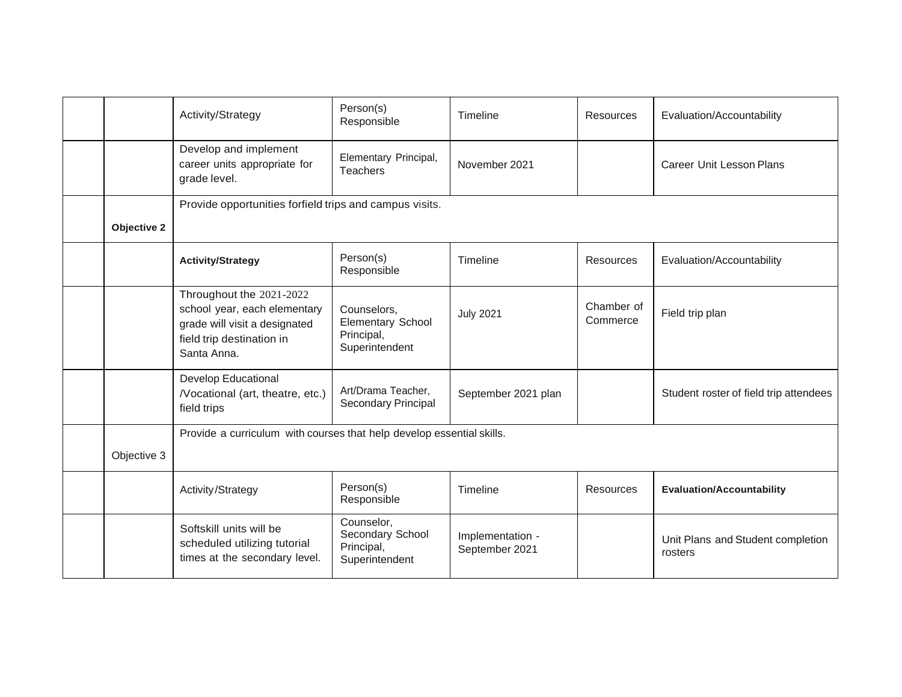|             | Activity/Strategy                                                                                                                     | Person(s)<br>Responsible                                                | Timeline                           | Resources              | Evaluation/Accountability                    |
|-------------|---------------------------------------------------------------------------------------------------------------------------------------|-------------------------------------------------------------------------|------------------------------------|------------------------|----------------------------------------------|
|             | Develop and implement<br>career units appropriate for<br>grade level.                                                                 | Elementary Principal,<br><b>Teachers</b>                                | November 2021                      |                        | <b>Career Unit Lesson Plans</b>              |
| Objective 2 | Provide opportunities forfield trips and campus visits.                                                                               |                                                                         |                                    |                        |                                              |
|             | <b>Activity/Strategy</b>                                                                                                              | Person(s)<br>Responsible                                                | Timeline                           | Resources              | Evaluation/Accountability                    |
|             | Throughout the 2021-2022<br>school year, each elementary<br>grade will visit a designated<br>field trip destination in<br>Santa Anna. | Counselors,<br><b>Elementary School</b><br>Principal,<br>Superintendent | <b>July 2021</b>                   | Chamber of<br>Commerce | Field trip plan                              |
|             | <b>Develop Educational</b><br>/Vocational (art, theatre, etc.)<br>field trips                                                         | Art/Drama Teacher,<br>Secondary Principal                               | September 2021 plan                |                        | Student roster of field trip attendees       |
| Objective 3 | Provide a curriculum with courses that help develop essential skills.                                                                 |                                                                         |                                    |                        |                                              |
|             | Activity/Strategy                                                                                                                     | Person(s)<br>Responsible                                                | Timeline                           | Resources              | <b>Evaluation/Accountability</b>             |
|             | Softskill units will be<br>scheduled utilizing tutorial<br>times at the secondary level.                                              | Counselor,<br>Secondary School<br>Principal,<br>Superintendent          | Implementation -<br>September 2021 |                        | Unit Plans and Student completion<br>rosters |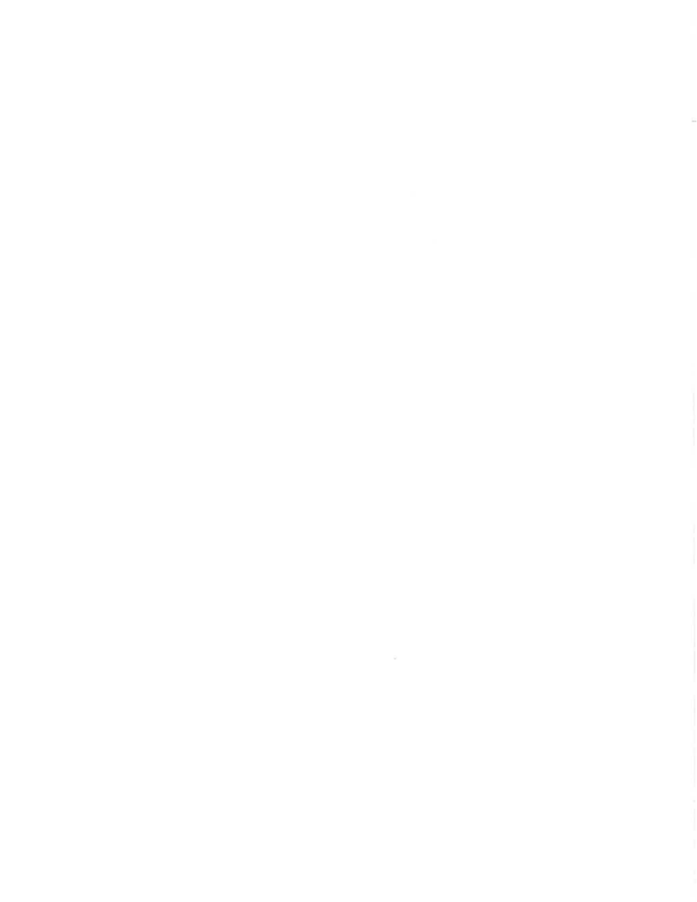$\alpha$  ,  $\alpha$  ,  $\alpha$  ,  $\alpha$  ,  $\alpha$  ,  $\alpha$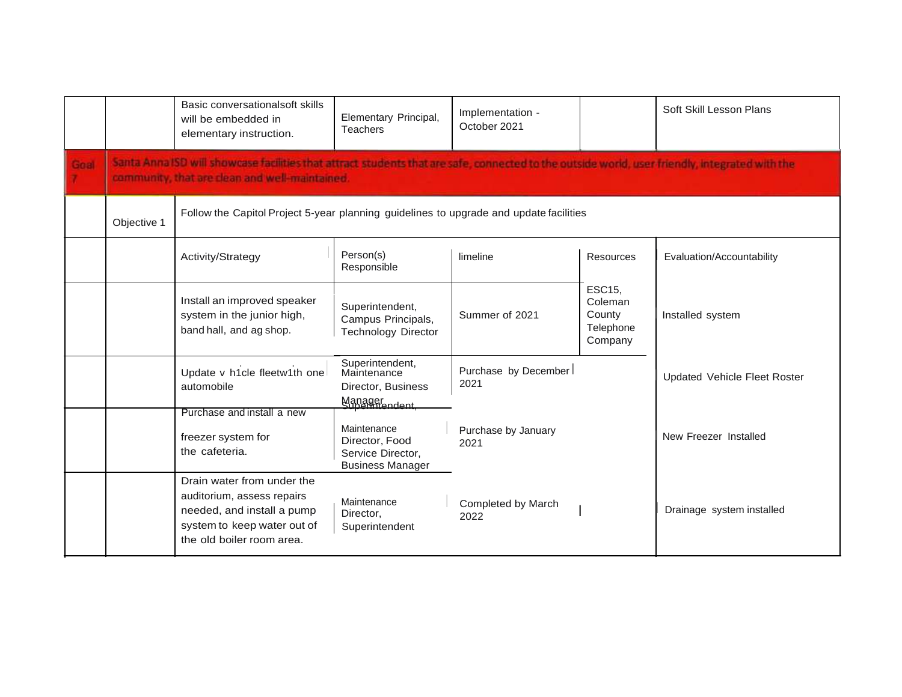|      |                                                                                                                                                                                                   | Basic conversationals of tskills<br>will be embedded in<br>elementary instruction.                                                                 | Elementary Principal,<br><b>Teachers</b>                                         | Implementation -<br>October 2021 |                                                            | Soft Skill Lesson Plans             |  |
|------|---------------------------------------------------------------------------------------------------------------------------------------------------------------------------------------------------|----------------------------------------------------------------------------------------------------------------------------------------------------|----------------------------------------------------------------------------------|----------------------------------|------------------------------------------------------------|-------------------------------------|--|
| Goal | Santa Anna ISD will showcase facilities that attract students that are safe, connected to the outside world, user friendly, integrated with the<br>community, that are clean and well-maintained. |                                                                                                                                                    |                                                                                  |                                  |                                                            |                                     |  |
|      | Objective 1                                                                                                                                                                                       | Follow the Capitol Project 5-year planning guidelines to upgrade and update facilities                                                             |                                                                                  |                                  |                                                            |                                     |  |
|      |                                                                                                                                                                                                   | Activity/Strategy                                                                                                                                  | Person(s)<br>Responsible                                                         | limeline                         | <b>Resources</b>                                           | Evaluation/Accountability           |  |
|      |                                                                                                                                                                                                   | Install an improved speaker<br>system in the junior high,<br>band hall, and ag shop.                                                               | Superintendent,<br>Campus Principals,<br><b>Technology Director</b>              | Summer of 2021                   | <b>ESC15,</b><br>Coleman<br>County<br>Telephone<br>Company | Installed system                    |  |
|      |                                                                                                                                                                                                   | Update v h1cle fleetw1th one<br>automobile                                                                                                         | Superintendent,<br>Maintenance<br>Director, Business<br>Manager<br>Simagerendent | Purchase by December<br>2021     |                                                            | <b>Updated Vehicle Fleet Roster</b> |  |
|      |                                                                                                                                                                                                   | Purchase and install a new<br>freezer system for<br>the cafeteria.                                                                                 | Maintenance<br>Director, Food<br>Service Director,<br><b>Business Manager</b>    | Purchase by January<br>2021      |                                                            | New Freezer Installed               |  |
|      |                                                                                                                                                                                                   | Drain water from under the<br>auditorium, assess repairs<br>needed, and install a pump<br>system to keep water out of<br>the old boiler room area. | Maintenance<br>Director,<br>Superintendent                                       | Completed by March<br>2022       |                                                            | Drainage system installed           |  |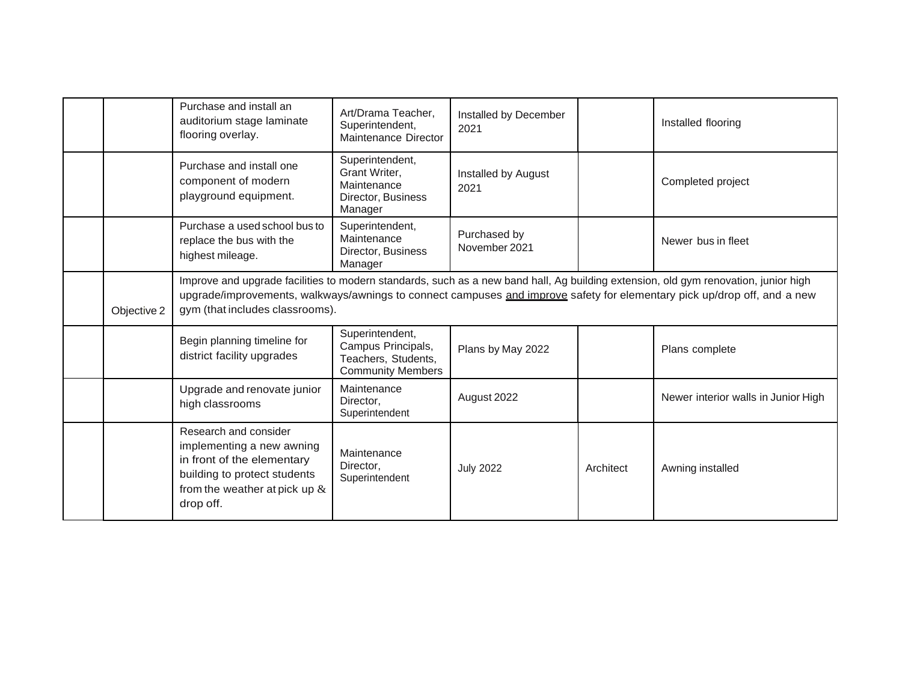|             | Purchase and install an<br>auditorium stage laminate<br>flooring overlay.                                                                                                                                                                                                                          | Art/Drama Teacher,<br>Superintendent,<br>Maintenance Director                            | Installed by December<br>2021 |           | Installed flooring                  |
|-------------|----------------------------------------------------------------------------------------------------------------------------------------------------------------------------------------------------------------------------------------------------------------------------------------------------|------------------------------------------------------------------------------------------|-------------------------------|-----------|-------------------------------------|
|             | Purchase and install one<br>component of modern<br>playground equipment.                                                                                                                                                                                                                           | Superintendent,<br>Grant Writer,<br>Maintenance<br>Director, Business<br>Manager         | Installed by August<br>2021   |           | Completed project                   |
|             | Purchase a used school bus to<br>replace the bus with the<br>highest mileage.                                                                                                                                                                                                                      | Superintendent,<br>Maintenance<br>Director, Business<br>Manager                          | Purchased by<br>November 2021 |           | Newer bus in fleet                  |
| Objective 2 | Improve and upgrade facilities to modern standards, such as a new band hall, Ag building extension, old gym renovation, junior high<br>upgrade/improvements, walkways/awnings to connect campuses and improve safety for elementary pick up/drop off, and a new<br>gym (that includes classrooms). |                                                                                          |                               |           |                                     |
|             | Begin planning timeline for<br>district facility upgrades                                                                                                                                                                                                                                          | Superintendent,<br>Campus Principals,<br>Teachers, Students,<br><b>Community Members</b> | Plans by May 2022             |           | Plans complete                      |
|             | Upgrade and renovate junior<br>high classrooms                                                                                                                                                                                                                                                     | Maintenance<br>Director,<br>Superintendent                                               | August 2022                   |           | Newer interior walls in Junior High |
|             | Research and consider<br>implementing a new awning<br>in front of the elementary<br>building to protect students<br>from the weather at pick up $\&$<br>drop off.                                                                                                                                  | Maintenance<br>Director.<br>Superintendent                                               | <b>July 2022</b>              | Architect | Awning installed                    |